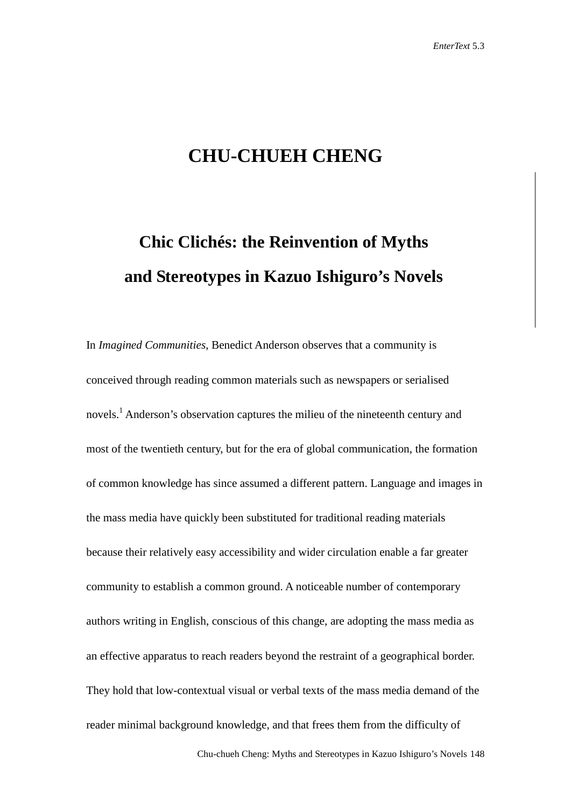## **CHU-CHUEH CHENG**

# **Chic Clichés: the Reinvention of Myths and Stereotypes in Kazuo Ishiguro's Novels**

In *Imagined Communities*, Benedict Anderson observes that a community is conceived through reading common materials such as newspapers or serialised novels.<sup>1</sup> Anderson's observation captures the milieu of the nineteenth century and most of the twentieth century, but for the era of global communication, the formation of common knowledge has since assumed a different pattern. Language and images in the mass media have quickly been substituted for traditional reading materials because their relatively easy accessibility and wider circulation enable a far greater community to establish a common ground. A noticeable number of contemporary authors writing in English, conscious of this change, are adopting the mass media as an effective apparatus to reach readers beyond the restraint of a geographical border. They hold that low-contextual visual or verbal texts of the mass media demand of the reader minimal background knowledge, and that frees them from the difficulty of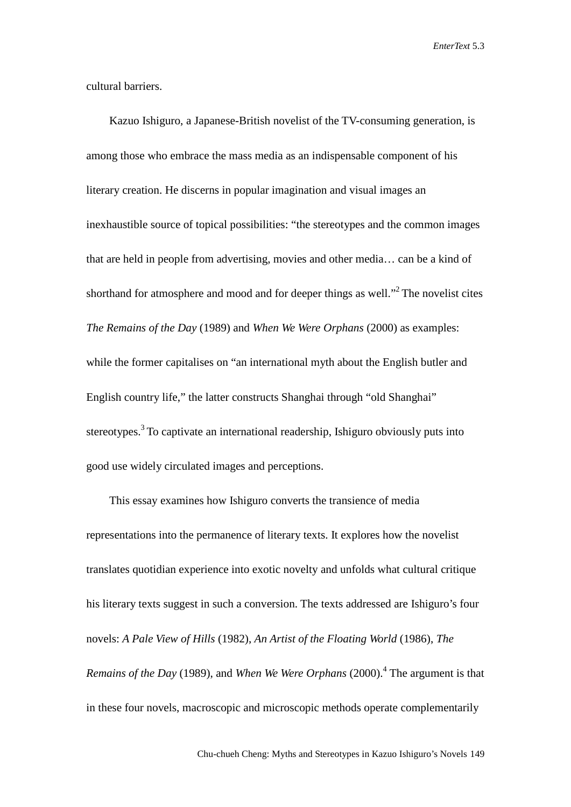cultural barriers.

Kazuo Ishiguro, a Japanese-British novelist of the TV-consuming generation, is among those who embrace the mass media as an indispensable component of his literary creation. He discerns in popular imagination and visual images an inexhaustible source of topical possibilities: "the stereotypes and the common images that are held in people from advertising, movies and other media… can be a kind of shorthand for atmosphere and mood and for deeper things as well."<sup>2</sup> The novelist cites *The Remains of the Day* (1989) and *When We Were Orphans* (2000) as examples: while the former capitalises on "an international myth about the English butler and English country life," the latter constructs Shanghai through "old Shanghai" stereotypes.<sup>3</sup> To captivate an international readership, Ishiguro obviously puts into good use widely circulated images and perceptions.

This essay examines how Ishiguro converts the transience of media representations into the permanence of literary texts. It explores how the novelist translates quotidian experience into exotic novelty and unfolds what cultural critique his literary texts suggest in such a conversion. The texts addressed are Ishiguro's four novels: *A Pale View of Hills* (1982), *An Artist of the Floating World* (1986), *The Remains of the Day* (1989), and *When We Were Orphans* (2000).4 The argument is that in these four novels, macroscopic and microscopic methods operate complementarily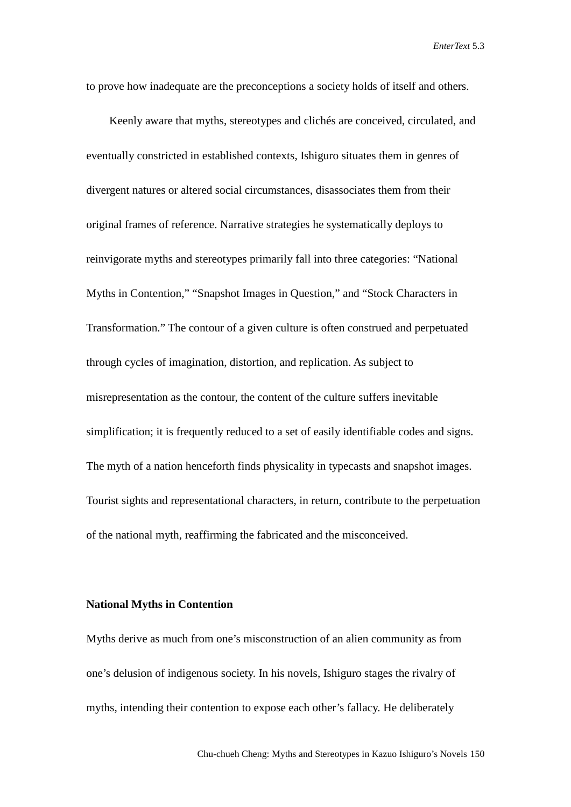to prove how inadequate are the preconceptions a society holds of itself and others.

Keenly aware that myths, stereotypes and clichés are conceived, circulated, and eventually constricted in established contexts, Ishiguro situates them in genres of divergent natures or altered social circumstances, disassociates them from their original frames of reference. Narrative strategies he systematically deploys to reinvigorate myths and stereotypes primarily fall into three categories: "National Myths in Contention," "Snapshot Images in Question," and "Stock Characters in Transformation." The contour of a given culture is often construed and perpetuated through cycles of imagination, distortion, and replication. As subject to misrepresentation as the contour, the content of the culture suffers inevitable simplification; it is frequently reduced to a set of easily identifiable codes and signs. The myth of a nation henceforth finds physicality in typecasts and snapshot images. Tourist sights and representational characters, in return, contribute to the perpetuation of the national myth, reaffirming the fabricated and the misconceived.

#### **National Myths in Contention**

Myths derive as much from one's misconstruction of an alien community as from one's delusion of indigenous society. In his novels, Ishiguro stages the rivalry of myths, intending their contention to expose each other's fallacy. He deliberately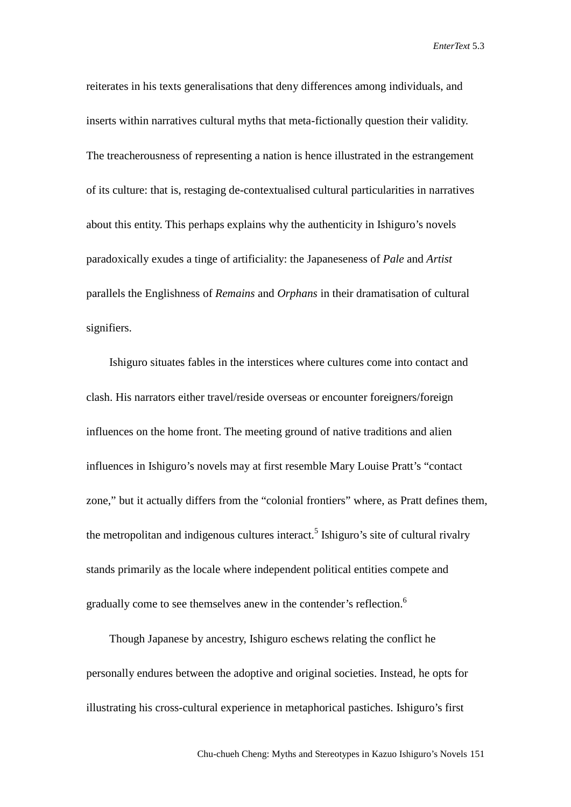reiterates in his texts generalisations that deny differences among individuals, and inserts within narratives cultural myths that meta-fictionally question their validity. The treacherousness of representing a nation is hence illustrated in the estrangement of its culture: that is, restaging de-contextualised cultural particularities in narratives about this entity. This perhaps explains why the authenticity in Ishiguro's novels paradoxically exudes a tinge of artificiality: the Japaneseness of *Pale* and *Artist* parallels the Englishness of *Remains* and *Orphans* in their dramatisation of cultural signifiers.

Ishiguro situates fables in the interstices where cultures come into contact and clash. His narrators either travel/reside overseas or encounter foreigners/foreign influences on the home front. The meeting ground of native traditions and alien influences in Ishiguro's novels may at first resemble Mary Louise Pratt's "contact zone," but it actually differs from the "colonial frontiers" where, as Pratt defines them, the metropolitan and indigenous cultures interact.<sup>5</sup> Ishiguro's site of cultural rivalry stands primarily as the locale where independent political entities compete and gradually come to see themselves anew in the contender's reflection.<sup>6</sup>

Though Japanese by ancestry, Ishiguro eschews relating the conflict he personally endures between the adoptive and original societies. Instead, he opts for illustrating his cross-cultural experience in metaphorical pastiches. Ishiguro's first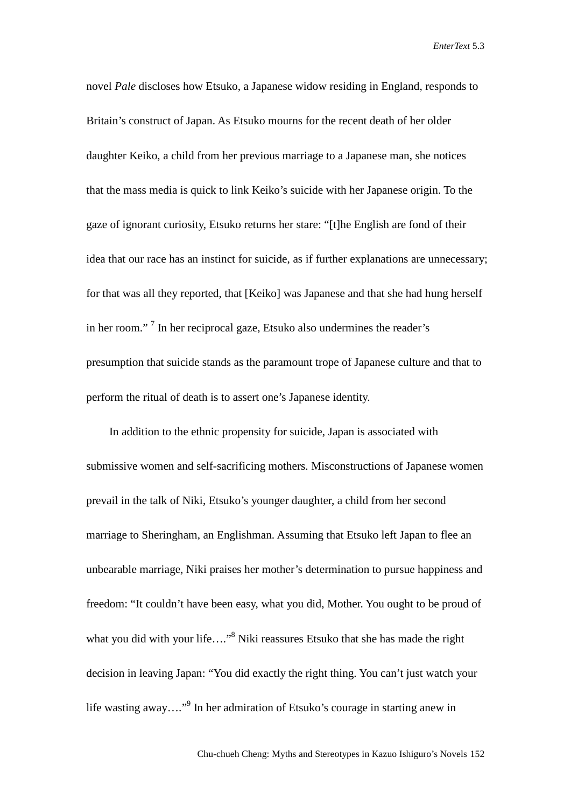novel *Pale* discloses how Etsuko, a Japanese widow residing in England, responds to Britain's construct of Japan. As Etsuko mourns for the recent death of her older daughter Keiko, a child from her previous marriage to a Japanese man, she notices that the mass media is quick to link Keiko's suicide with her Japanese origin. To the gaze of ignorant curiosity, Etsuko returns her stare: "[t]he English are fond of their idea that our race has an instinct for suicide, as if further explanations are unnecessary; for that was all they reported, that [Keiko] was Japanese and that she had hung herself in her room." <sup>7</sup> In her reciprocal gaze, Etsuko also undermines the reader's presumption that suicide stands as the paramount trope of Japanese culture and that to perform the ritual of death is to assert one's Japanese identity.

In addition to the ethnic propensity for suicide, Japan is associated with submissive women and self-sacrificing mothers. Misconstructions of Japanese women prevail in the talk of Niki, Etsuko's younger daughter, a child from her second marriage to Sheringham, an Englishman. Assuming that Etsuko left Japan to flee an unbearable marriage, Niki praises her mother's determination to pursue happiness and freedom: "It couldn't have been easy, what you did, Mother. You ought to be proud of what you did with your life...."<sup>8</sup> Niki reassures Etsuko that she has made the right decision in leaving Japan: "You did exactly the right thing. You can't just watch your life wasting away…."9 In her admiration of Etsuko's courage in starting anew in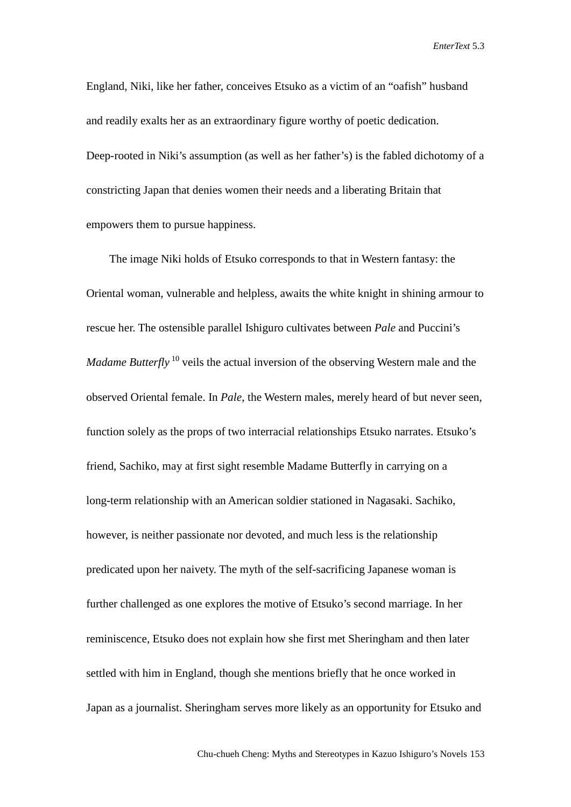England, Niki, like her father, conceives Etsuko as a victim of an "oafish" husband and readily exalts her as an extraordinary figure worthy of poetic dedication. Deep-rooted in Niki's assumption (as well as her father's) is the fabled dichotomy of a constricting Japan that denies women their needs and a liberating Britain that empowers them to pursue happiness.

The image Niki holds of Etsuko corresponds to that in Western fantasy: the Oriental woman, vulnerable and helpless, awaits the white knight in shining armour to rescue her. The ostensible parallel Ishiguro cultivates between *Pale* and Puccini's *Madame Butterfly* <sup>10</sup> veils the actual inversion of the observing Western male and the observed Oriental female. In *Pale*, the Western males, merely heard of but never seen, function solely as the props of two interracial relationships Etsuko narrates. Etsuko's friend, Sachiko, may at first sight resemble Madame Butterfly in carrying on a long-term relationship with an American soldier stationed in Nagasaki. Sachiko, however, is neither passionate nor devoted, and much less is the relationship predicated upon her naivety. The myth of the self-sacrificing Japanese woman is further challenged as one explores the motive of Etsuko's second marriage. In her reminiscence, Etsuko does not explain how she first met Sheringham and then later settled with him in England, though she mentions briefly that he once worked in Japan as a journalist. Sheringham serves more likely as an opportunity for Etsuko and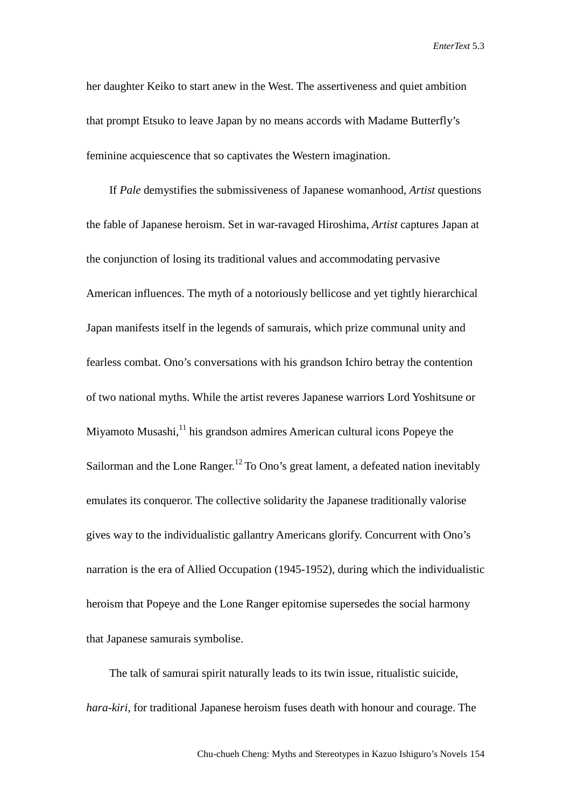her daughter Keiko to start anew in the West. The assertiveness and quiet ambition that prompt Etsuko to leave Japan by no means accords with Madame Butterfly's feminine acquiescence that so captivates the Western imagination.

If *Pale* demystifies the submissiveness of Japanese womanhood, *Artist* questions the fable of Japanese heroism. Set in war-ravaged Hiroshima, *Artist* captures Japan at the conjunction of losing its traditional values and accommodating pervasive American influences. The myth of a notoriously bellicose and yet tightly hierarchical Japan manifests itself in the legends of samurais, which prize communal unity and fearless combat. Ono's conversations with his grandson Ichiro betray the contention of two national myths. While the artist reveres Japanese warriors Lord Yoshitsune or Miyamoto Musashi,<sup>11</sup> his grandson admires American cultural icons Popeye the Sailorman and the Lone Ranger.<sup>12</sup> To Ono's great lament, a defeated nation inevitably emulates its conqueror. The collective solidarity the Japanese traditionally valorise gives way to the individualistic gallantry Americans glorify. Concurrent with Ono's narration is the era of Allied Occupation (1945-1952), during which the individualistic heroism that Popeye and the Lone Ranger epitomise supersedes the social harmony that Japanese samurais symbolise.

The talk of samurai spirit naturally leads to its twin issue, ritualistic suicide, *hara-kiri*, for traditional Japanese heroism fuses death with honour and courage. The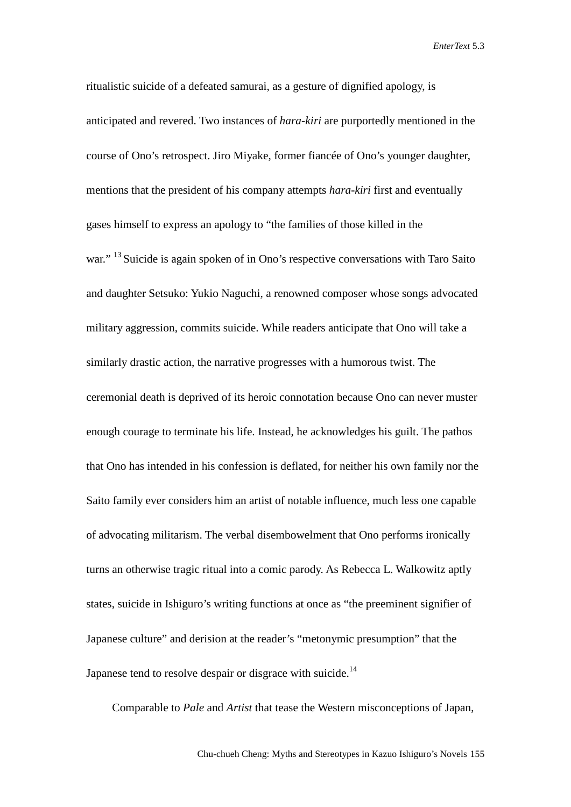ritualistic suicide of a defeated samurai, as a gesture of dignified apology, is anticipated and revered. Two instances of *hara-kiri* are purportedly mentioned in the course of Ono's retrospect. Jiro Miyake, former fiancée of Ono's younger daughter, mentions that the president of his company attempts *hara-kiri* first and eventually gases himself to express an apology to "the families of those killed in the war." <sup>13</sup> Suicide is again spoken of in Ono's respective conversations with Taro Saito and daughter Setsuko: Yukio Naguchi, a renowned composer whose songs advocated military aggression, commits suicide. While readers anticipate that Ono will take a similarly drastic action, the narrative progresses with a humorous twist. The ceremonial death is deprived of its heroic connotation because Ono can never muster enough courage to terminate his life. Instead, he acknowledges his guilt. The pathos that Ono has intended in his confession is deflated, for neither his own family nor the Saito family ever considers him an artist of notable influence, much less one capable of advocating militarism. The verbal disembowelment that Ono performs ironically turns an otherwise tragic ritual into a comic parody. As Rebecca L. Walkowitz aptly states, suicide in Ishiguro's writing functions at once as "the preeminent signifier of Japanese culture" and derision at the reader's "metonymic presumption" that the Japanese tend to resolve despair or disgrace with suicide.<sup>14</sup>

Comparable to *Pale* and *Artist* that tease the Western misconceptions of Japan,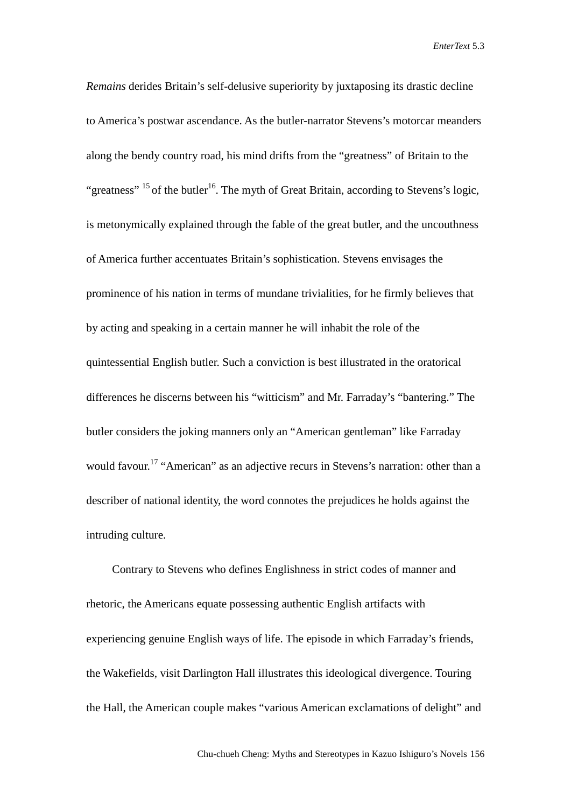*Remains* derides Britain's self-delusive superiority by juxtaposing its drastic decline to America's postwar ascendance. As the butler-narrator Stevens's motorcar meanders along the bendy country road, his mind drifts from the "greatness" of Britain to the "greatness"  $^{15}$  of the butler<sup>16</sup>. The myth of Great Britain, according to Stevens's logic, is metonymically explained through the fable of the great butler, and the uncouthness of America further accentuates Britain's sophistication. Stevens envisages the prominence of his nation in terms of mundane trivialities, for he firmly believes that by acting and speaking in a certain manner he will inhabit the role of the quintessential English butler. Such a conviction is best illustrated in the oratorical differences he discerns between his "witticism" and Mr. Farraday's "bantering." The butler considers the joking manners only an "American gentleman" like Farraday would favour.<sup>17</sup> "American" as an adjective recurs in Stevens's narration: other than a describer of national identity, the word connotes the prejudices he holds against the intruding culture.

Contrary to Stevens who defines Englishness in strict codes of manner and rhetoric, the Americans equate possessing authentic English artifacts with experiencing genuine English ways of life. The episode in which Farraday's friends, the Wakefields, visit Darlington Hall illustrates this ideological divergence. Touring the Hall, the American couple makes "various American exclamations of delight" and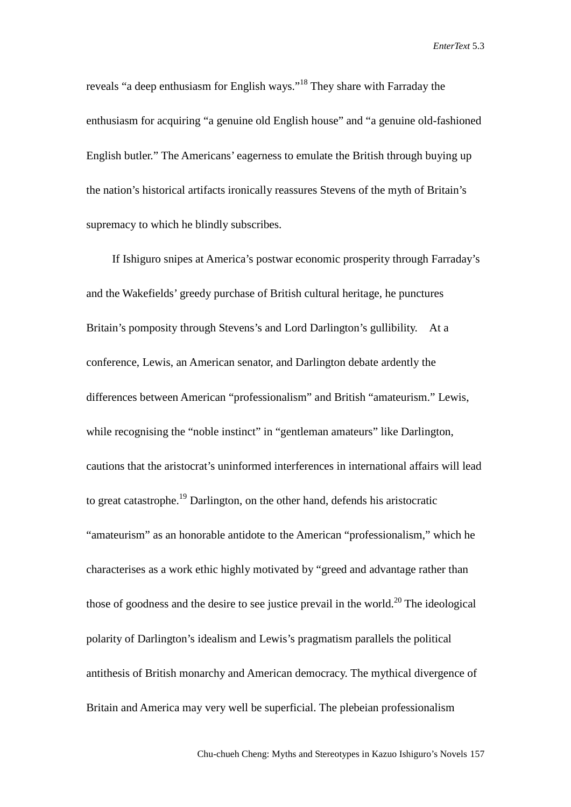reveals "a deep enthusiasm for English ways."<sup>18</sup> They share with Farraday the enthusiasm for acquiring "a genuine old English house" and "a genuine old-fashioned English butler." The Americans' eagerness to emulate the British through buying up the nation's historical artifacts ironically reassures Stevens of the myth of Britain's supremacy to which he blindly subscribes.

If Ishiguro snipes at America's postwar economic prosperity through Farraday's and the Wakefields' greedy purchase of British cultural heritage, he punctures Britain's pomposity through Stevens's and Lord Darlington's gullibility. At a conference, Lewis, an American senator, and Darlington debate ardently the differences between American "professionalism" and British "amateurism." Lewis, while recognising the "noble instinct" in "gentleman amateurs" like Darlington, cautions that the aristocrat's uninformed interferences in international affairs will lead to great catastrophe.<sup>19</sup> Darlington, on the other hand, defends his aristocratic "amateurism" as an honorable antidote to the American "professionalism," which he characterises as a work ethic highly motivated by "greed and advantage rather than those of goodness and the desire to see justice prevail in the world.<sup>20</sup> The ideological polarity of Darlington's idealism and Lewis's pragmatism parallels the political antithesis of British monarchy and American democracy. The mythical divergence of Britain and America may very well be superficial. The plebeian professionalism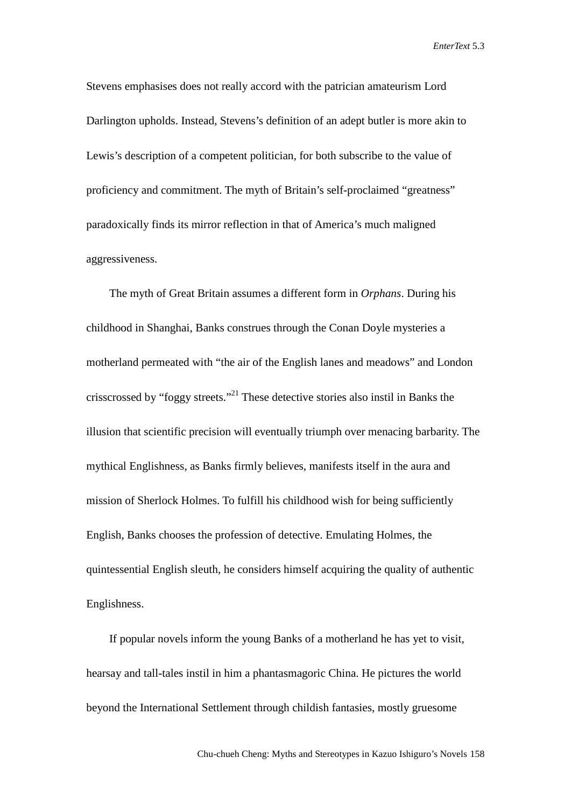Stevens emphasises does not really accord with the patrician amateurism Lord Darlington upholds. Instead, Stevens's definition of an adept butler is more akin to Lewis's description of a competent politician, for both subscribe to the value of proficiency and commitment. The myth of Britain's self-proclaimed "greatness" paradoxically finds its mirror reflection in that of America's much maligned aggressiveness.

The myth of Great Britain assumes a different form in *Orphans*. During his childhood in Shanghai, Banks construes through the Conan Doyle mysteries a motherland permeated with "the air of the English lanes and meadows" and London crisscrossed by "foggy streets."<sup>21</sup> These detective stories also instil in Banks the illusion that scientific precision will eventually triumph over menacing barbarity. The mythical Englishness, as Banks firmly believes, manifests itself in the aura and mission of Sherlock Holmes. To fulfill his childhood wish for being sufficiently English, Banks chooses the profession of detective. Emulating Holmes, the quintessential English sleuth, he considers himself acquiring the quality of authentic Englishness.

If popular novels inform the young Banks of a motherland he has yet to visit, hearsay and tall-tales instil in him a phantasmagoric China. He pictures the world beyond the International Settlement through childish fantasies, mostly gruesome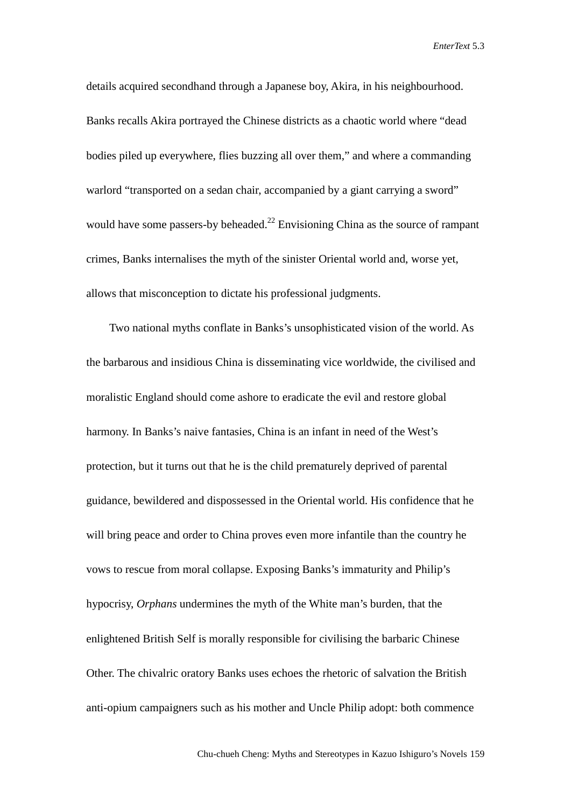details acquired secondhand through a Japanese boy, Akira, in his neighbourhood. Banks recalls Akira portrayed the Chinese districts as a chaotic world where "dead bodies piled up everywhere, flies buzzing all over them," and where a commanding warlord "transported on a sedan chair, accompanied by a giant carrying a sword" would have some passers-by beheaded.<sup>22</sup> Envisioning China as the source of rampant crimes, Banks internalises the myth of the sinister Oriental world and, worse yet, allows that misconception to dictate his professional judgments.

Two national myths conflate in Banks's unsophisticated vision of the world. As the barbarous and insidious China is disseminating vice worldwide, the civilised and moralistic England should come ashore to eradicate the evil and restore global harmony. In Banks's naive fantasies, China is an infant in need of the West's protection, but it turns out that he is the child prematurely deprived of parental guidance, bewildered and dispossessed in the Oriental world. His confidence that he will bring peace and order to China proves even more infantile than the country he vows to rescue from moral collapse. Exposing Banks's immaturity and Philip's hypocrisy, *Orphans* undermines the myth of the White man's burden, that the enlightened British Self is morally responsible for civilising the barbaric Chinese Other. The chivalric oratory Banks uses echoes the rhetoric of salvation the British anti-opium campaigners such as his mother and Uncle Philip adopt: both commence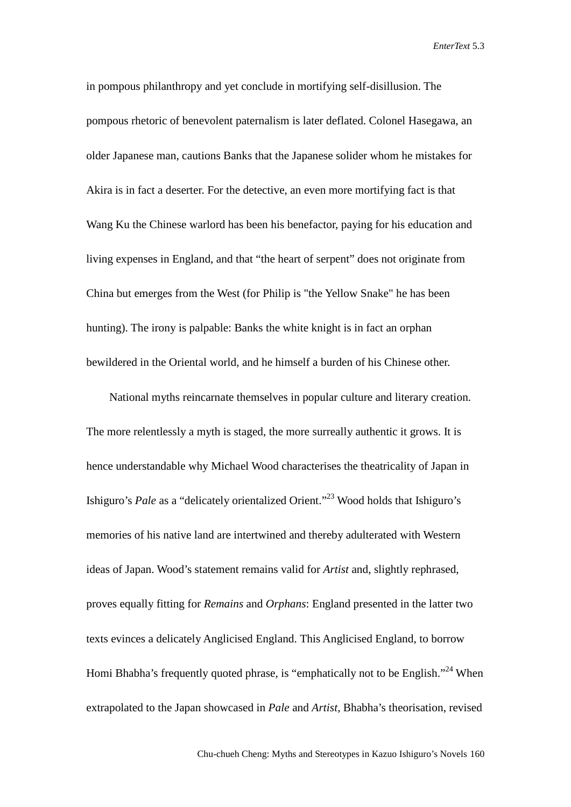in pompous philanthropy and yet conclude in mortifying self-disillusion. The pompous rhetoric of benevolent paternalism is later deflated. Colonel Hasegawa, an older Japanese man, cautions Banks that the Japanese solider whom he mistakes for Akira is in fact a deserter. For the detective, an even more mortifying fact is that Wang Ku the Chinese warlord has been his benefactor, paying for his education and living expenses in England, and that "the heart of serpent" does not originate from China but emerges from the West (for Philip is "the Yellow Snake" he has been hunting). The irony is palpable: Banks the white knight is in fact an orphan bewildered in the Oriental world, and he himself a burden of his Chinese other.

National myths reincarnate themselves in popular culture and literary creation. The more relentlessly a myth is staged, the more surreally authentic it grows. It is hence understandable why Michael Wood characterises the theatricality of Japan in Ishiguro's *Pale* as a "delicately orientalized Orient."<sup>23</sup> Wood holds that Ishiguro's memories of his native land are intertwined and thereby adulterated with Western ideas of Japan. Wood's statement remains valid for *Artist* and, slightly rephrased, proves equally fitting for *Remains* and *Orphans*: England presented in the latter two texts evinces a delicately Anglicised England. This Anglicised England, to borrow Homi Bhabha's frequently quoted phrase, is "emphatically not to be English."<sup>24</sup> When extrapolated to the Japan showcased in *Pale* and *Artist*, Bhabha's theorisation, revised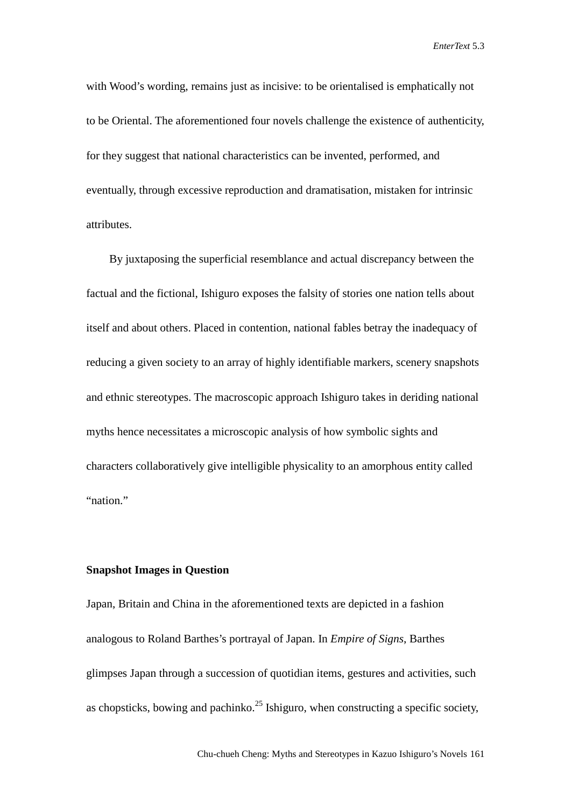with Wood's wording, remains just as incisive: to be orientalised is emphatically not to be Oriental. The aforementioned four novels challenge the existence of authenticity, for they suggest that national characteristics can be invented, performed, and eventually, through excessive reproduction and dramatisation, mistaken for intrinsic attributes.

By juxtaposing the superficial resemblance and actual discrepancy between the factual and the fictional, Ishiguro exposes the falsity of stories one nation tells about itself and about others. Placed in contention, national fables betray the inadequacy of reducing a given society to an array of highly identifiable markers, scenery snapshots and ethnic stereotypes. The macroscopic approach Ishiguro takes in deriding national myths hence necessitates a microscopic analysis of how symbolic sights and characters collaboratively give intelligible physicality to an amorphous entity called "nation."

#### **Snapshot Images in Question**

Japan, Britain and China in the aforementioned texts are depicted in a fashion analogous to Roland Barthes's portrayal of Japan. In *Empire of Signs*, Barthes glimpses Japan through a succession of quotidian items, gestures and activities, such as chopsticks, bowing and pachinko.<sup>25</sup> Ishiguro, when constructing a specific society,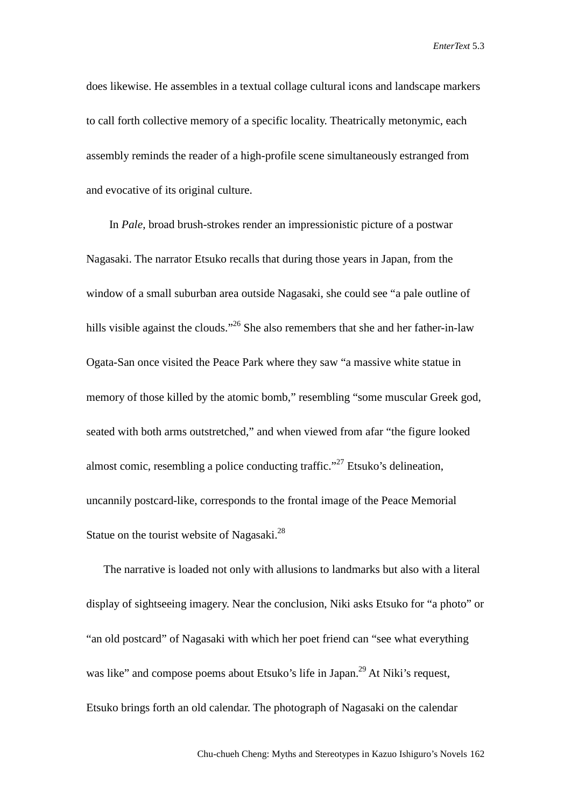does likewise. He assembles in a textual collage cultural icons and landscape markers to call forth collective memory of a specific locality. Theatrically metonymic, each assembly reminds the reader of a high-profile scene simultaneously estranged from and evocative of its original culture.

In *Pale*, broad brush-strokes render an impressionistic picture of a postwar Nagasaki. The narrator Etsuko recalls that during those years in Japan, from the window of a small suburban area outside Nagasaki, she could see "a pale outline of hills visible against the clouds."<sup>26</sup> She also remembers that she and her father-in-law Ogata-San once visited the Peace Park where they saw "a massive white statue in memory of those killed by the atomic bomb," resembling "some muscular Greek god, seated with both arms outstretched," and when viewed from afar "the figure looked almost comic, resembling a police conducting traffic."<sup>27</sup> Etsuko's delineation, uncannily postcard-like, corresponds to the frontal image of the Peace Memorial Statue on the tourist website of Nagasaki.<sup>28</sup>

The narrative is loaded not only with allusions to landmarks but also with a literal display of sightseeing imagery. Near the conclusion, Niki asks Etsuko for "a photo" or "an old postcard" of Nagasaki with which her poet friend can "see what everything was like" and compose poems about Etsuko's life in Japan.<sup>29</sup> At Niki's request, Etsuko brings forth an old calendar. The photograph of Nagasaki on the calendar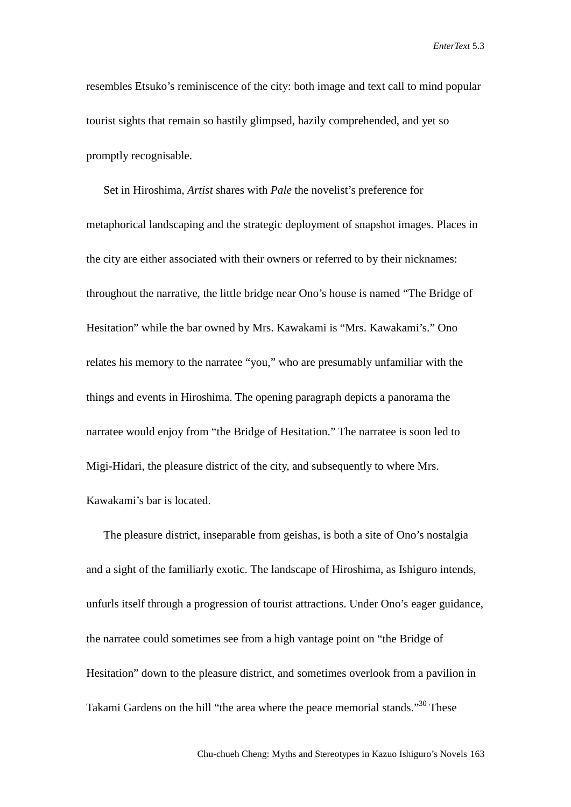resembles Etsuko's reminiscence of the city: both image and text call to mind popular tourist sights that remain so hastily glimpsed, hazily comprehended, and yet so promptly recognisable.

Set in Hiroshima, *Artist* shares with *Pale* the novelist's preference for metaphorical landscaping and the strategic deployment of snapshot images. Places in the city are either associated with their owners or referred to by their nicknames: throughout the narrative, the little bridge near Ono's house is named "The Bridge of Hesitation" while the bar owned by Mrs. Kawakami is "Mrs. Kawakami's." Ono relates his memory to the narratee "you," who are presumably unfamiliar with the things and events in Hiroshima. The opening paragraph depicts a panorama the narratee would enjoy from "the Bridge of Hesitation." The narratee is soon led to Migi-Hidari, the pleasure district of the city, and subsequently to where Mrs. Kawakami's bar is located.

The pleasure district, inseparable from geishas, is both a site of Ono's nostalgia and a sight of the familiarly exotic. The landscape of Hiroshima, as Ishiguro intends, unfurls itself through a progression of tourist attractions. Under Ono's eager guidance, the narratee could sometimes see from a high vantage point on "the Bridge of Hesitation" down to the pleasure district, and sometimes overlook from a pavilion in Takami Gardens on the hill "the area where the peace memorial stands."<sup>30</sup> These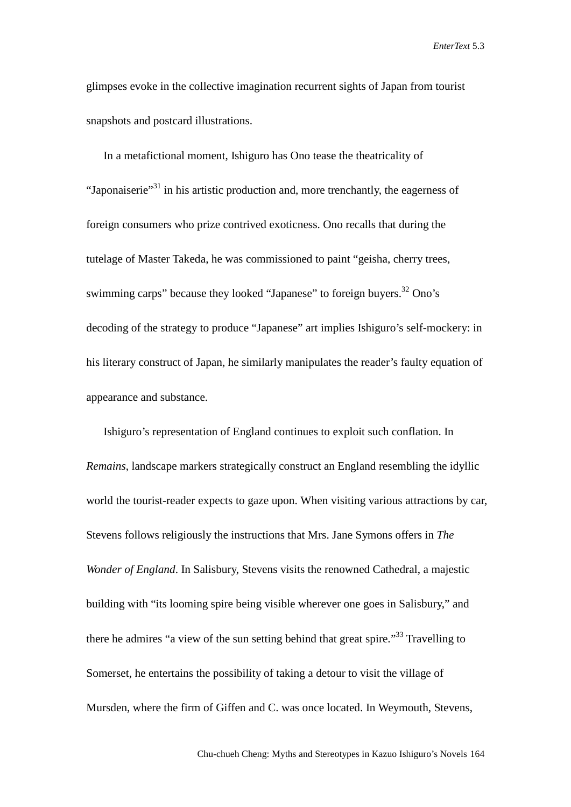glimpses evoke in the collective imagination recurrent sights of Japan from tourist snapshots and postcard illustrations.

In a metafictional moment, Ishiguro has Ono tease the theatricality of "Japonaiserie"31 in his artistic production and, more trenchantly, the eagerness of foreign consumers who prize contrived exoticness. Ono recalls that during the tutelage of Master Takeda, he was commissioned to paint "geisha, cherry trees, swimming carps" because they looked "Japanese" to foreign buyers.<sup>32</sup> Ono's decoding of the strategy to produce "Japanese" art implies Ishiguro's self-mockery: in his literary construct of Japan, he similarly manipulates the reader's faulty equation of appearance and substance.

Ishiguro's representation of England continues to exploit such conflation. In *Remains*, landscape markers strategically construct an England resembling the idyllic world the tourist-reader expects to gaze upon. When visiting various attractions by car, Stevens follows religiously the instructions that Mrs. Jane Symons offers in *The Wonder of England*. In Salisbury, Stevens visits the renowned Cathedral, a majestic building with "its looming spire being visible wherever one goes in Salisbury," and there he admires "a view of the sun setting behind that great spire."<sup>33</sup> Travelling to Somerset, he entertains the possibility of taking a detour to visit the village of Mursden, where the firm of Giffen and C. was once located. In Weymouth, Stevens,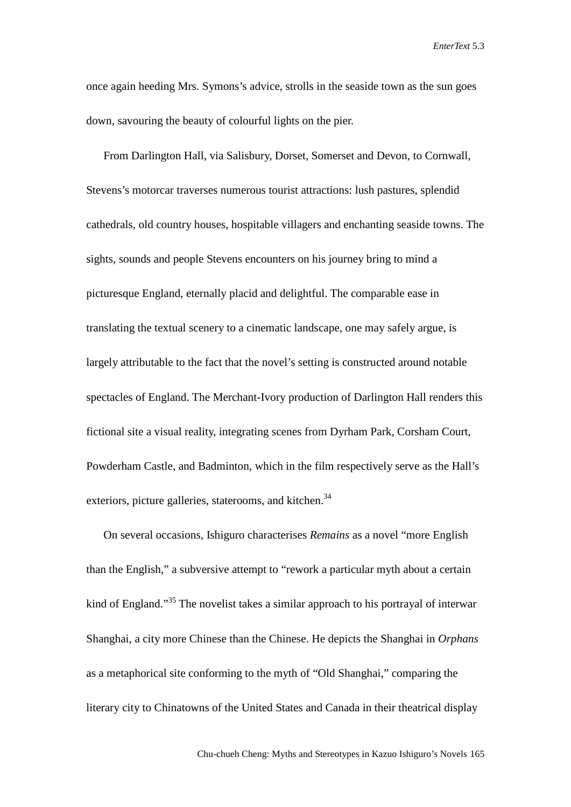once again heeding Mrs. Symons's advice, strolls in the seaside town as the sun goes down, savouring the beauty of colourful lights on the pier.

From Darlington Hall, via Salisbury, Dorset, Somerset and Devon, to Cornwall, Stevens's motorcar traverses numerous tourist attractions: lush pastures, splendid cathedrals, old country houses, hospitable villagers and enchanting seaside towns. The sights, sounds and people Stevens encounters on his journey bring to mind a picturesque England, eternally placid and delightful. The comparable ease in translating the textual scenery to a cinematic landscape, one may safely argue, is largely attributable to the fact that the novel's setting is constructed around notable spectacles of England. The Merchant-Ivory production of Darlington Hall renders this fictional site a visual reality, integrating scenes from Dyrham Park, Corsham Court, Powderham Castle, and Badminton, which in the film respectively serve as the Hall's exteriors, picture galleries, staterooms, and kitchen.<sup>34</sup>

On several occasions, Ishiguro characterises *Remains* as a novel "more English than the English," a subversive attempt to "rework a particular myth about a certain kind of England."<sup>35</sup> The novelist takes a similar approach to his portrayal of interwar Shanghai, a city more Chinese than the Chinese. He depicts the Shanghai in *Orphans* as a metaphorical site conforming to the myth of "Old Shanghai," comparing the literary city to Chinatowns of the United States and Canada in their theatrical display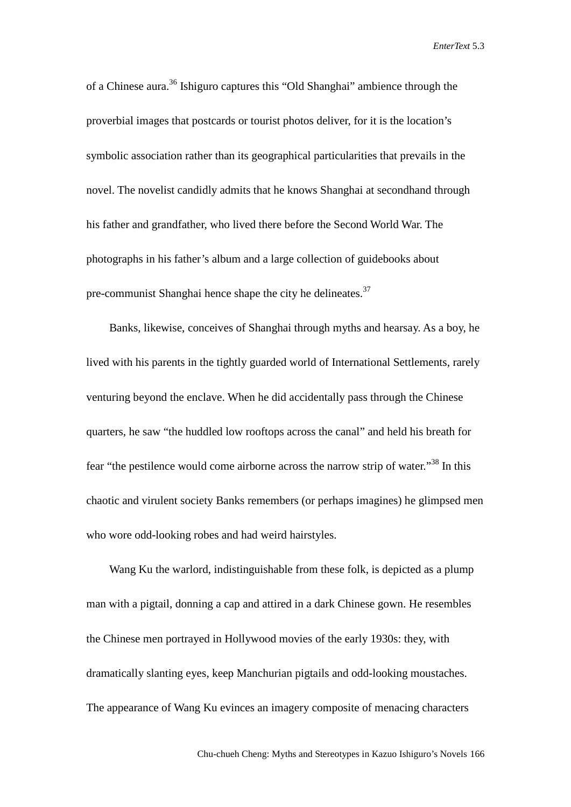of a Chinese aura.<sup>36</sup> Ishiguro captures this "Old Shanghai" ambience through the proverbial images that postcards or tourist photos deliver, for it is the location's symbolic association rather than its geographical particularities that prevails in the novel. The novelist candidly admits that he knows Shanghai at secondhand through his father and grandfather, who lived there before the Second World War. The photographs in his father's album and a large collection of guidebooks about pre-communist Shanghai hence shape the city he delineates. $37$ 

Banks, likewise, conceives of Shanghai through myths and hearsay. As a boy, he lived with his parents in the tightly guarded world of International Settlements, rarely venturing beyond the enclave. When he did accidentally pass through the Chinese quarters, he saw "the huddled low rooftops across the canal" and held his breath for fear "the pestilence would come airborne across the narrow strip of water."<sup>38</sup> In this chaotic and virulent society Banks remembers (or perhaps imagines) he glimpsed men who wore odd-looking robes and had weird hairstyles.

Wang Ku the warlord, indistinguishable from these folk, is depicted as a plump man with a pigtail, donning a cap and attired in a dark Chinese gown. He resembles the Chinese men portrayed in Hollywood movies of the early 1930s: they, with dramatically slanting eyes, keep Manchurian pigtails and odd-looking moustaches. The appearance of Wang Ku evinces an imagery composite of menacing characters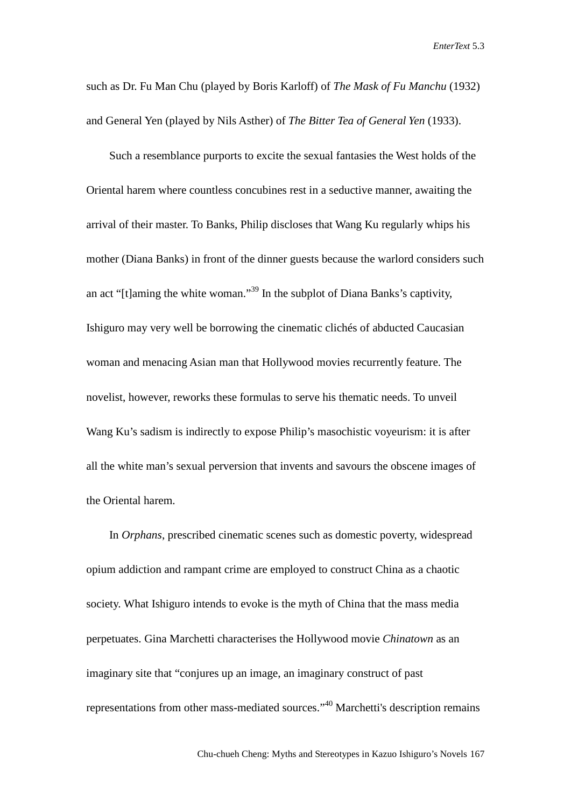such as Dr. Fu Man Chu (played by Boris Karloff) of *The Mask of Fu Manchu* (1932) and General Yen (played by Nils Asther) of *The Bitter Tea of General Yen* (1933).

Such a resemblance purports to excite the sexual fantasies the West holds of the Oriental harem where countless concubines rest in a seductive manner, awaiting the arrival of their master. To Banks, Philip discloses that Wang Ku regularly whips his mother (Diana Banks) in front of the dinner guests because the warlord considers such an act "[t]aming the white woman."<sup>39</sup> In the subplot of Diana Banks's captivity, Ishiguro may very well be borrowing the cinematic clichés of abducted Caucasian woman and menacing Asian man that Hollywood movies recurrently feature. The novelist, however, reworks these formulas to serve his thematic needs. To unveil Wang Ku's sadism is indirectly to expose Philip's masochistic voyeurism: it is after all the white man's sexual perversion that invents and savours the obscene images of the Oriental harem.

In *Orphans*, prescribed cinematic scenes such as domestic poverty, widespread opium addiction and rampant crime are employed to construct China as a chaotic society. What Ishiguro intends to evoke is the myth of China that the mass media perpetuates. Gina Marchetti characterises the Hollywood movie *Chinatown* as an imaginary site that "conjures up an image, an imaginary construct of past representations from other mass-mediated sources."<sup>40</sup> Marchetti's description remains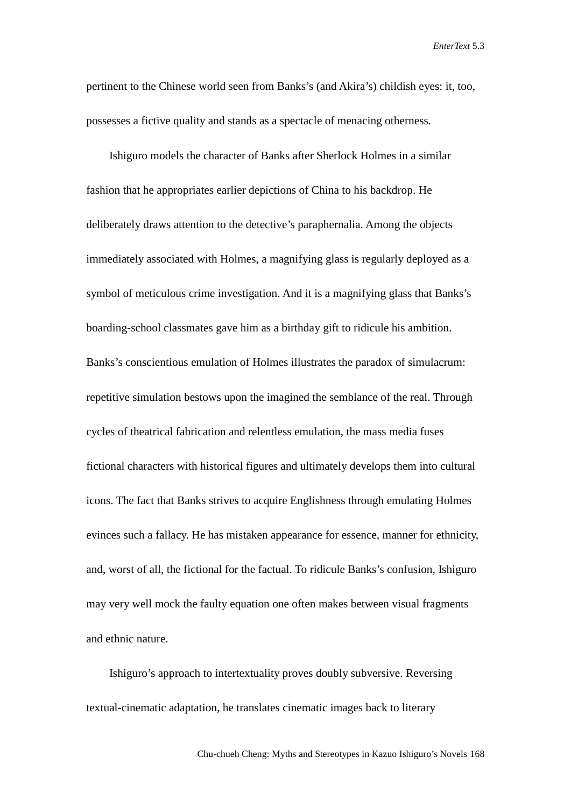pertinent to the Chinese world seen from Banks's (and Akira's) childish eyes: it, too, possesses a fictive quality and stands as a spectacle of menacing otherness.

Ishiguro models the character of Banks after Sherlock Holmes in a similar fashion that he appropriates earlier depictions of China to his backdrop. He deliberately draws attention to the detective's paraphernalia. Among the objects immediately associated with Holmes, a magnifying glass is regularly deployed as a symbol of meticulous crime investigation. And it is a magnifying glass that Banks's boarding-school classmates gave him as a birthday gift to ridicule his ambition. Banks's conscientious emulation of Holmes illustrates the paradox of simulacrum: repetitive simulation bestows upon the imagined the semblance of the real. Through cycles of theatrical fabrication and relentless emulation, the mass media fuses fictional characters with historical figures and ultimately develops them into cultural icons. The fact that Banks strives to acquire Englishness through emulating Holmes evinces such a fallacy. He has mistaken appearance for essence, manner for ethnicity, and, worst of all, the fictional for the factual. To ridicule Banks's confusion, Ishiguro may very well mock the faulty equation one often makes between visual fragments and ethnic nature.

Ishiguro's approach to intertextuality proves doubly subversive. Reversing textual-cinematic adaptation, he translates cinematic images back to literary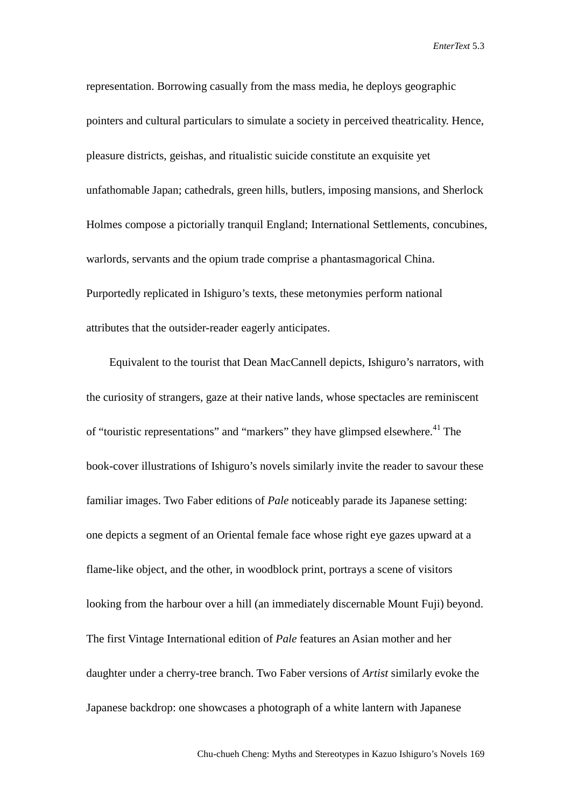representation. Borrowing casually from the mass media, he deploys geographic pointers and cultural particulars to simulate a society in perceived theatricality. Hence, pleasure districts, geishas, and ritualistic suicide constitute an exquisite yet unfathomable Japan; cathedrals, green hills, butlers, imposing mansions, and Sherlock Holmes compose a pictorially tranquil England; International Settlements, concubines, warlords, servants and the opium trade comprise a phantasmagorical China. Purportedly replicated in Ishiguro's texts, these metonymies perform national attributes that the outsider-reader eagerly anticipates.

Equivalent to the tourist that Dean MacCannell depicts, Ishiguro's narrators, with the curiosity of strangers, gaze at their native lands, whose spectacles are reminiscent of "touristic representations" and "markers" they have glimpsed elsewhere.<sup>41</sup> The book-cover illustrations of Ishiguro's novels similarly invite the reader to savour these familiar images. Two Faber editions of *Pale* noticeably parade its Japanese setting: one depicts a segment of an Oriental female face whose right eye gazes upward at a flame-like object, and the other, in woodblock print, portrays a scene of visitors looking from the harbour over a hill (an immediately discernable Mount Fuji) beyond. The first Vintage International edition of *Pale* features an Asian mother and her daughter under a cherry-tree branch. Two Faber versions of *Artist* similarly evoke the Japanese backdrop: one showcases a photograph of a white lantern with Japanese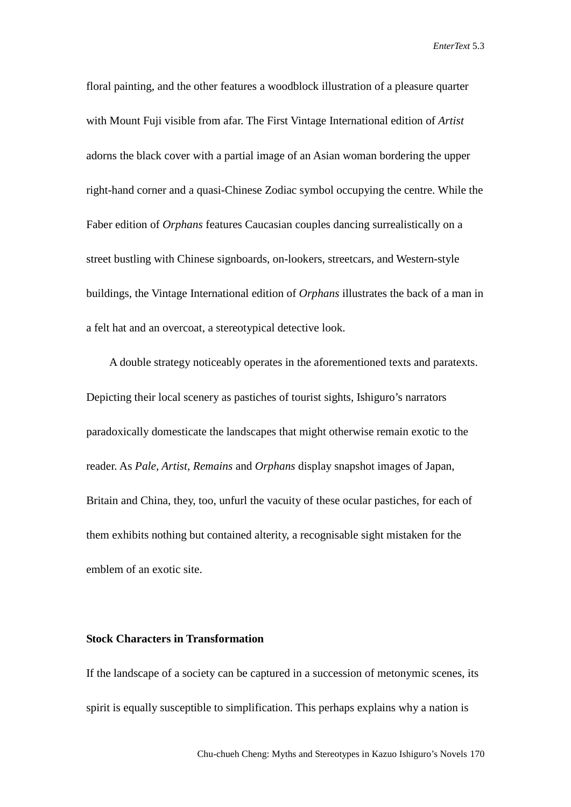floral painting, and the other features a woodblock illustration of a pleasure quarter with Mount Fuji visible from afar. The First Vintage International edition of *Artist* adorns the black cover with a partial image of an Asian woman bordering the upper right-hand corner and a quasi-Chinese Zodiac symbol occupying the centre. While the Faber edition of *Orphans* features Caucasian couples dancing surrealistically on a street bustling with Chinese signboards, on-lookers, streetcars, and Western-style buildings, the Vintage International edition of *Orphans* illustrates the back of a man in a felt hat and an overcoat, a stereotypical detective look.

A double strategy noticeably operates in the aforementioned texts and paratexts. Depicting their local scenery as pastiches of tourist sights, Ishiguro's narrators paradoxically domesticate the landscapes that might otherwise remain exotic to the reader. As *Pale, Artist, Remains* and *Orphans* display snapshot images of Japan, Britain and China, they, too, unfurl the vacuity of these ocular pastiches, for each of them exhibits nothing but contained alterity, a recognisable sight mistaken for the emblem of an exotic site.

### **Stock Characters in Transformation**

If the landscape of a society can be captured in a succession of metonymic scenes, its spirit is equally susceptible to simplification. This perhaps explains why a nation is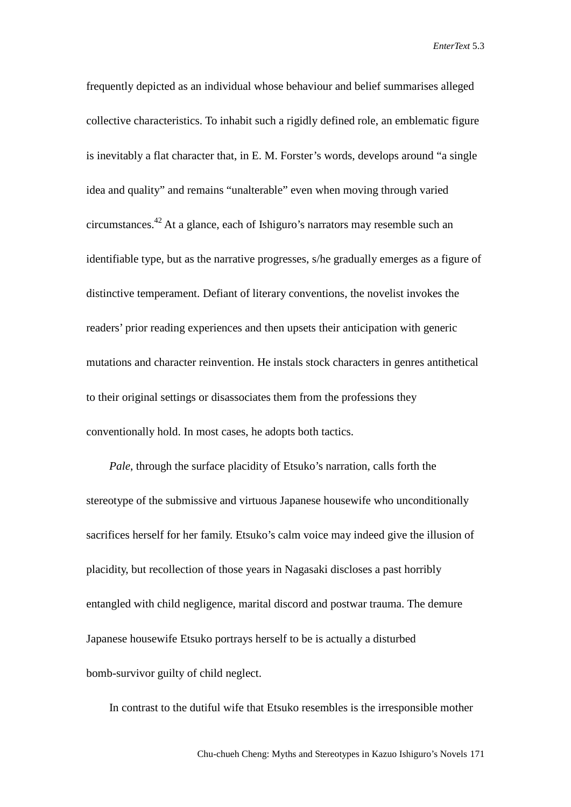frequently depicted as an individual whose behaviour and belief summarises alleged collective characteristics. To inhabit such a rigidly defined role, an emblematic figure is inevitably a flat character that, in E. M. Forster's words, develops around "a single idea and quality" and remains "unalterable" even when moving through varied circumstances. <sup>42</sup> At a glance, each of Ishiguro's narrators may resemble such an identifiable type, but as the narrative progresses, s/he gradually emerges as a figure of distinctive temperament. Defiant of literary conventions, the novelist invokes the readers' prior reading experiences and then upsets their anticipation with generic mutations and character reinvention. He instals stock characters in genres antithetical to their original settings or disassociates them from the professions they conventionally hold. In most cases, he adopts both tactics.

*Pale*, through the surface placidity of Etsuko's narration, calls forth the stereotype of the submissive and virtuous Japanese housewife who unconditionally sacrifices herself for her family. Etsuko's calm voice may indeed give the illusion of placidity, but recollection of those years in Nagasaki discloses a past horribly entangled with child negligence, marital discord and postwar trauma. The demure Japanese housewife Etsuko portrays herself to be is actually a disturbed bomb-survivor guilty of child neglect.

In contrast to the dutiful wife that Etsuko resembles is the irresponsible mother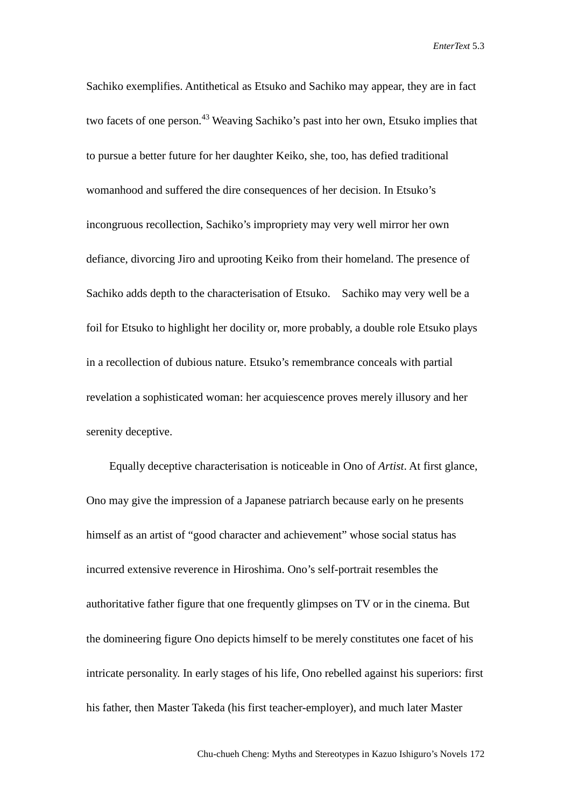Sachiko exemplifies. Antithetical as Etsuko and Sachiko may appear, they are in fact two facets of one person.<sup>43</sup> Weaving Sachiko's past into her own, Etsuko implies that to pursue a better future for her daughter Keiko, she, too, has defied traditional womanhood and suffered the dire consequences of her decision. In Etsuko's incongruous recollection, Sachiko's impropriety may very well mirror her own defiance, divorcing Jiro and uprooting Keiko from their homeland. The presence of Sachiko adds depth to the characterisation of Etsuko. Sachiko may very well be a foil for Etsuko to highlight her docility or, more probably, a double role Etsuko plays in a recollection of dubious nature. Etsuko's remembrance conceals with partial revelation a sophisticated woman: her acquiescence proves merely illusory and her serenity deceptive.

Equally deceptive characterisation is noticeable in Ono of *Artist*. At first glance, Ono may give the impression of a Japanese patriarch because early on he presents himself as an artist of "good character and achievement" whose social status has incurred extensive reverence in Hiroshima. Ono's self-portrait resembles the authoritative father figure that one frequently glimpses on TV or in the cinema. But the domineering figure Ono depicts himself to be merely constitutes one facet of his intricate personality. In early stages of his life, Ono rebelled against his superiors: first his father, then Master Takeda (his first teacher-employer), and much later Master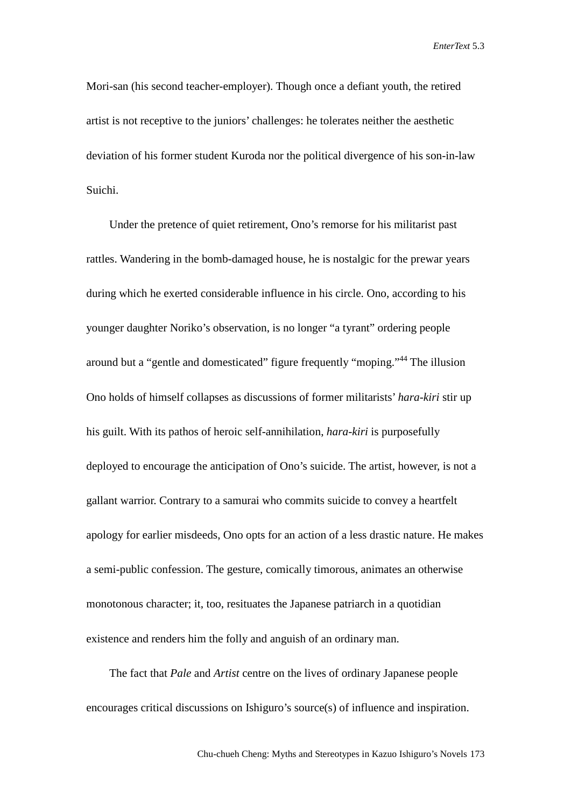Mori-san (his second teacher-employer). Though once a defiant youth, the retired artist is not receptive to the juniors' challenges: he tolerates neither the aesthetic deviation of his former student Kuroda nor the political divergence of his son-in-law Suichi.

Under the pretence of quiet retirement, Ono's remorse for his militarist past rattles. Wandering in the bomb-damaged house, he is nostalgic for the prewar years during which he exerted considerable influence in his circle. Ono, according to his younger daughter Noriko's observation, is no longer "a tyrant" ordering people around but a "gentle and domesticated" figure frequently "moping."<sup>44</sup> The illusion Ono holds of himself collapses as discussions of former militarists' *hara-kiri* stir up his guilt. With its pathos of heroic self-annihilation, *hara-kiri* is purposefully deployed to encourage the anticipation of Ono's suicide. The artist, however, is not a gallant warrior. Contrary to a samurai who commits suicide to convey a heartfelt apology for earlier misdeeds, Ono opts for an action of a less drastic nature. He makes a semi-public confession. The gesture, comically timorous, animates an otherwise monotonous character; it, too, resituates the Japanese patriarch in a quotidian existence and renders him the folly and anguish of an ordinary man.

The fact that *Pale* and *Artist* centre on the lives of ordinary Japanese people encourages critical discussions on Ishiguro's source(s) of influence and inspiration.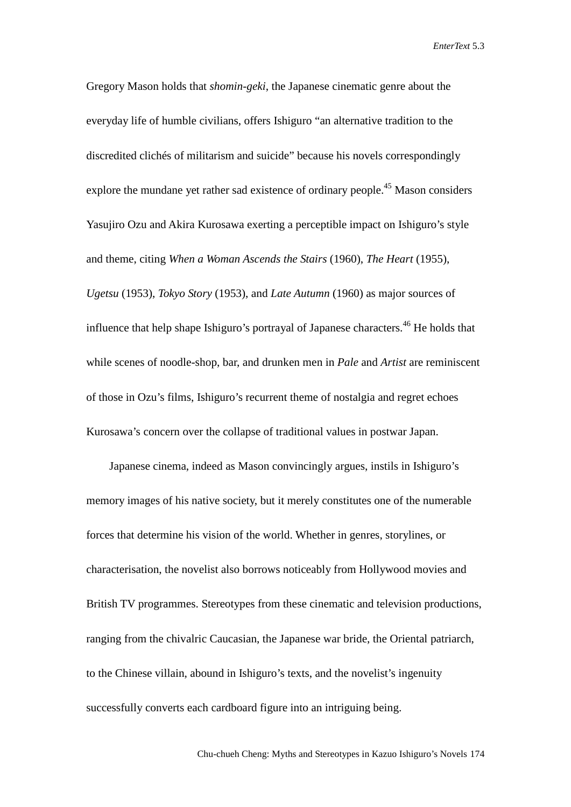Gregory Mason holds that *shomin-geki*, the Japanese cinematic genre about the everyday life of humble civilians, offers Ishiguro "an alternative tradition to the discredited clichés of militarism and suicide" because his novels correspondingly explore the mundane yet rather sad existence of ordinary people.<sup>45</sup> Mason considers Yasujiro Ozu and Akira Kurosawa exerting a perceptible impact on Ishiguro's style and theme, citing *When a Woman Ascends the Stairs* (1960), *The Heart* (1955), *Ugetsu* (1953), *Tokyo Story* (1953), and *Late Autumn* (1960) as major sources of influence that help shape Ishiguro's portrayal of Japanese characters. <sup>46</sup> He holds that while scenes of noodle-shop, bar, and drunken men in *Pale* and *Artist* are reminiscent of those in Ozu's films, Ishiguro's recurrent theme of nostalgia and regret echoes Kurosawa's concern over the collapse of traditional values in postwar Japan.

Japanese cinema, indeed as Mason convincingly argues, instils in Ishiguro's memory images of his native society, but it merely constitutes one of the numerable forces that determine his vision of the world. Whether in genres, storylines, or characterisation, the novelist also borrows noticeably from Hollywood movies and British TV programmes. Stereotypes from these cinematic and television productions, ranging from the chivalric Caucasian, the Japanese war bride, the Oriental patriarch, to the Chinese villain, abound in Ishiguro's texts, and the novelist's ingenuity successfully converts each cardboard figure into an intriguing being.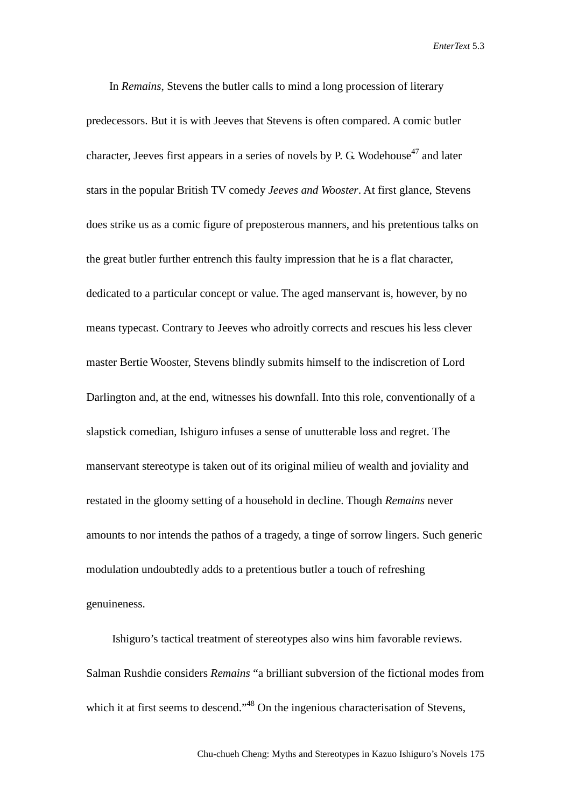In *Remains*, Stevens the butler calls to mind a long procession of literary predecessors. But it is with Jeeves that Stevens is often compared. A comic butler character, Jeeves first appears in a series of novels by P. G. Wodehouse<sup>47</sup> and later stars in the popular British TV comedy *Jeeves and Wooster*. At first glance, Stevens does strike us as a comic figure of preposterous manners, and his pretentious talks on the great butler further entrench this faulty impression that he is a flat character, dedicated to a particular concept or value. The aged manservant is, however, by no means typecast. Contrary to Jeeves who adroitly corrects and rescues his less clever master Bertie Wooster, Stevens blindly submits himself to the indiscretion of Lord Darlington and, at the end, witnesses his downfall. Into this role, conventionally of a slapstick comedian, Ishiguro infuses a sense of unutterable loss and regret. The manservant stereotype is taken out of its original milieu of wealth and joviality and restated in the gloomy setting of a household in decline. Though *Remains* never amounts to nor intends the pathos of a tragedy, a tinge of sorrow lingers. Such generic modulation undoubtedly adds to a pretentious butler a touch of refreshing genuineness.

Ishiguro's tactical treatment of stereotypes also wins him favorable reviews. Salman Rushdie considers *Remains* "a brilliant subversion of the fictional modes from which it at first seems to descend."<sup>48</sup> On the ingenious characterisation of Stevens,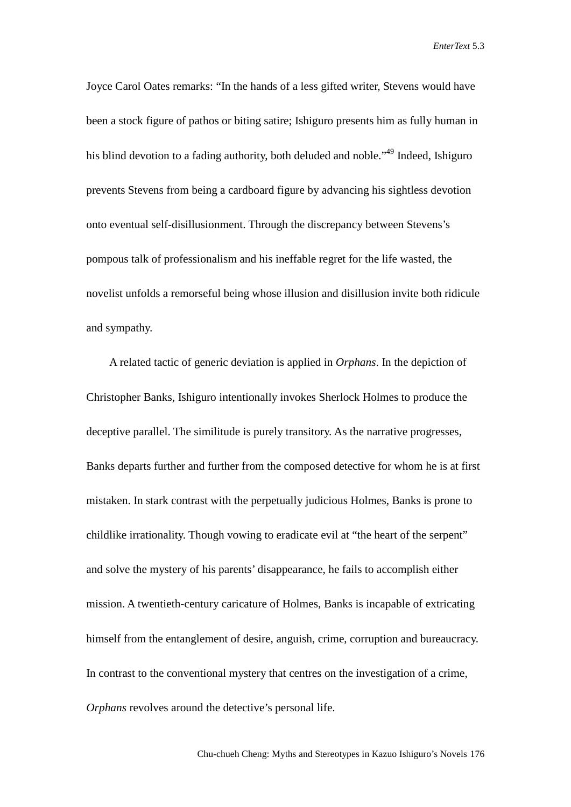Joyce Carol Oates remarks: "In the hands of a less gifted writer, Stevens would have been a stock figure of pathos or biting satire; Ishiguro presents him as fully human in his blind devotion to a fading authority, both deluded and noble."<sup>49</sup> Indeed, Ishiguro prevents Stevens from being a cardboard figure by advancing his sightless devotion onto eventual self-disillusionment. Through the discrepancy between Stevens's pompous talk of professionalism and his ineffable regret for the life wasted, the novelist unfolds a remorseful being whose illusion and disillusion invite both ridicule and sympathy.

A related tactic of generic deviation is applied in *Orphans*. In the depiction of Christopher Banks, Ishiguro intentionally invokes Sherlock Holmes to produce the deceptive parallel. The similitude is purely transitory. As the narrative progresses, Banks departs further and further from the composed detective for whom he is at first mistaken. In stark contrast with the perpetually judicious Holmes, Banks is prone to childlike irrationality. Though vowing to eradicate evil at "the heart of the serpent" and solve the mystery of his parents' disappearance, he fails to accomplish either mission. A twentieth-century caricature of Holmes, Banks is incapable of extricating himself from the entanglement of desire, anguish, crime, corruption and bureaucracy. In contrast to the conventional mystery that centres on the investigation of a crime, *Orphans* revolves around the detective's personal life.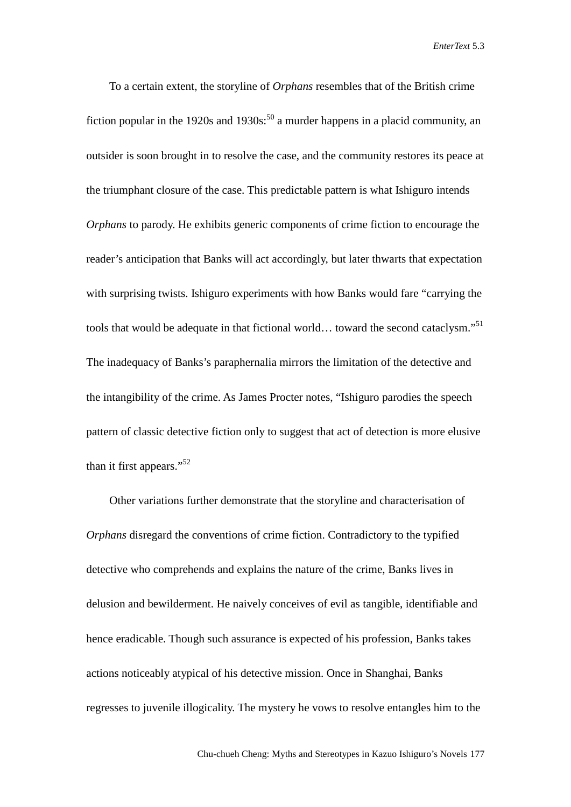To a certain extent, the storyline of *Orphans* resembles that of the British crime fiction popular in the 1920s and 1930s:<sup>50</sup> a murder happens in a placid community, an outsider is soon brought in to resolve the case, and the community restores its peace at the triumphant closure of the case. This predictable pattern is what Ishiguro intends *Orphans* to parody. He exhibits generic components of crime fiction to encourage the reader's anticipation that Banks will act accordingly, but later thwarts that expectation with surprising twists. Ishiguro experiments with how Banks would fare "carrying the tools that would be adequate in that fictional world... toward the second cataclysm."<sup>51</sup> The inadequacy of Banks's paraphernalia mirrors the limitation of the detective and the intangibility of the crime. As James Procter notes, "Ishiguro parodies the speech pattern of classic detective fiction only to suggest that act of detection is more elusive than it first appears."<sup>52</sup>

Other variations further demonstrate that the storyline and characterisation of *Orphans* disregard the conventions of crime fiction. Contradictory to the typified detective who comprehends and explains the nature of the crime, Banks lives in delusion and bewilderment. He naively conceives of evil as tangible, identifiable and hence eradicable. Though such assurance is expected of his profession, Banks takes actions noticeably atypical of his detective mission. Once in Shanghai, Banks regresses to juvenile illogicality. The mystery he vows to resolve entangles him to the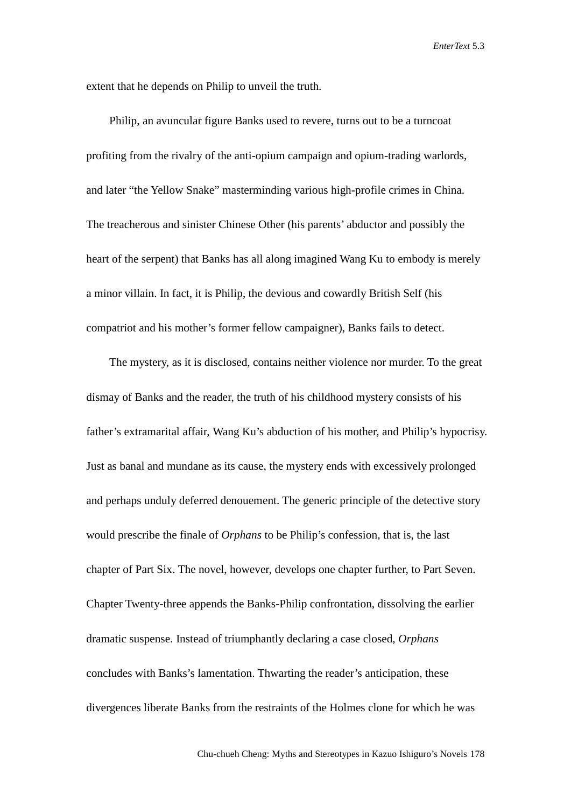extent that he depends on Philip to unveil the truth.

Philip, an avuncular figure Banks used to revere, turns out to be a turncoat profiting from the rivalry of the anti-opium campaign and opium-trading warlords, and later "the Yellow Snake" masterminding various high-profile crimes in China. The treacherous and sinister Chinese Other (his parents' abductor and possibly the heart of the serpent) that Banks has all along imagined Wang Ku to embody is merely a minor villain. In fact, it is Philip, the devious and cowardly British Self (his compatriot and his mother's former fellow campaigner), Banks fails to detect.

The mystery, as it is disclosed, contains neither violence nor murder. To the great dismay of Banks and the reader, the truth of his childhood mystery consists of his father's extramarital affair, Wang Ku's abduction of his mother, and Philip's hypocrisy. Just as banal and mundane as its cause, the mystery ends with excessively prolonged and perhaps unduly deferred denouement. The generic principle of the detective story would prescribe the finale of *Orphans* to be Philip's confession, that is, the last chapter of Part Six. The novel, however, develops one chapter further, to Part Seven. Chapter Twenty-three appends the Banks-Philip confrontation, dissolving the earlier dramatic suspense. Instead of triumphantly declaring a case closed, *Orphans* concludes with Banks's lamentation. Thwarting the reader's anticipation, these divergences liberate Banks from the restraints of the Holmes clone for which he was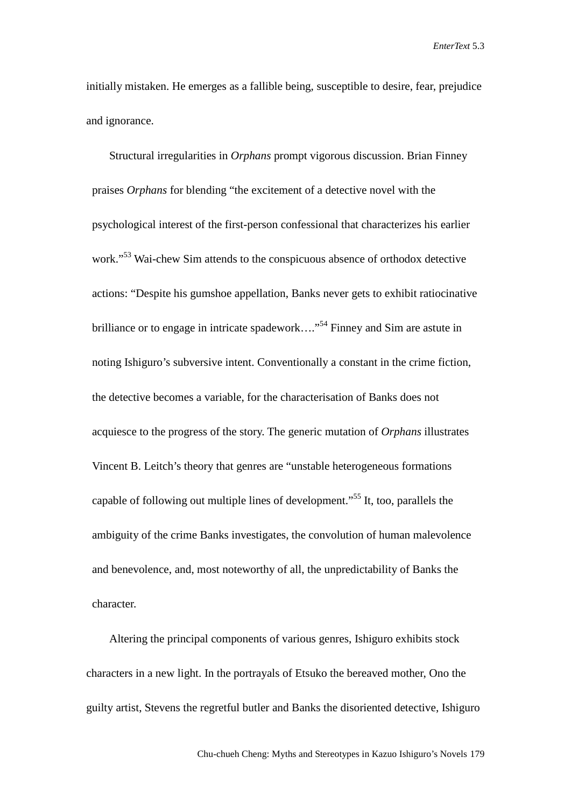initially mistaken. He emerges as a fallible being, susceptible to desire, fear, prejudice and ignorance.

Structural irregularities in *Orphans* prompt vigorous discussion. Brian Finney praises *Orphans* for blending "the excitement of a detective novel with the psychological interest of the first-person confessional that characterizes his earlier work."<sup>53</sup> Wai-chew Sim attends to the conspicuous absence of orthodox detective actions: "Despite his gumshoe appellation, Banks never gets to exhibit ratiocinative brilliance or to engage in intricate spadework...."<sup>54</sup> Finney and Sim are astute in noting Ishiguro's subversive intent. Conventionally a constant in the crime fiction, the detective becomes a variable, for the characterisation of Banks does not acquiesce to the progress of the story. The generic mutation of *Orphans* illustrates Vincent B. Leitch's theory that genres are "unstable heterogeneous formations capable of following out multiple lines of development."55 It, too, parallels the ambiguity of the crime Banks investigates, the convolution of human malevolence and benevolence, and, most noteworthy of all, the unpredictability of Banks the character.

Altering the principal components of various genres, Ishiguro exhibits stock characters in a new light. In the portrayals of Etsuko the bereaved mother, Ono the guilty artist, Stevens the regretful butler and Banks the disoriented detective, Ishiguro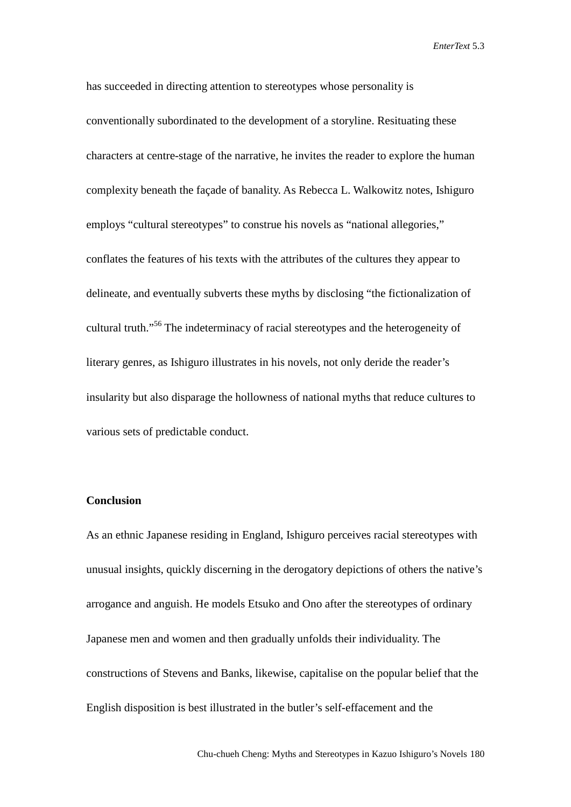has succeeded in directing attention to stereotypes whose personality is conventionally subordinated to the development of a storyline. Resituating these characters at centre-stage of the narrative, he invites the reader to explore the human complexity beneath the façade of banality. As Rebecca L. Walkowitz notes, Ishiguro employs "cultural stereotypes" to construe his novels as "national allegories," conflates the features of his texts with the attributes of the cultures they appear to delineate, and eventually subverts these myths by disclosing "the fictionalization of cultural truth."56 The indeterminacy of racial stereotypes and the heterogeneity of literary genres, as Ishiguro illustrates in his novels, not only deride the reader's insularity but also disparage the hollowness of national myths that reduce cultures to various sets of predictable conduct.

#### **Conclusion**

As an ethnic Japanese residing in England, Ishiguro perceives racial stereotypes with unusual insights, quickly discerning in the derogatory depictions of others the native's arrogance and anguish. He models Etsuko and Ono after the stereotypes of ordinary Japanese men and women and then gradually unfolds their individuality. The constructions of Stevens and Banks, likewise, capitalise on the popular belief that the English disposition is best illustrated in the butler's self-effacement and the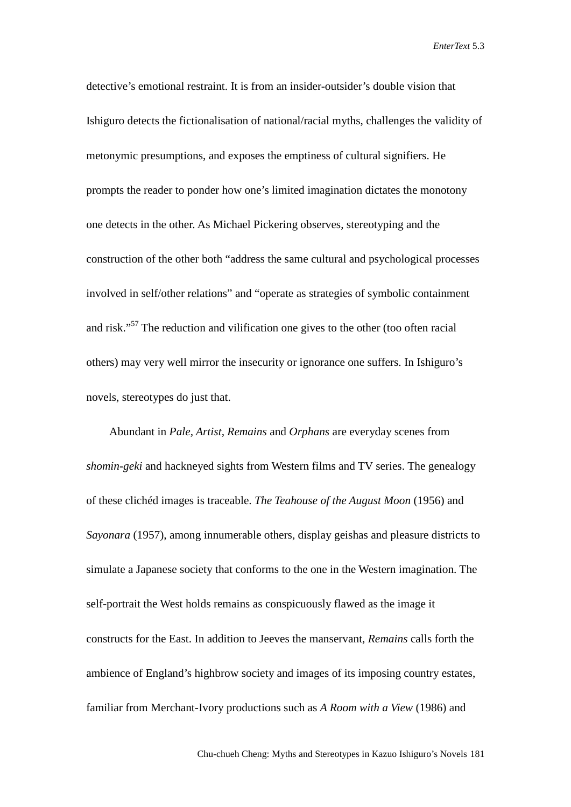detective's emotional restraint. It is from an insider-outsider's double vision that Ishiguro detects the fictionalisation of national/racial myths, challenges the validity of metonymic presumptions, and exposes the emptiness of cultural signifiers. He prompts the reader to ponder how one's limited imagination dictates the monotony one detects in the other. As Michael Pickering observes, stereotyping and the construction of the other both "address the same cultural and psychological processes involved in self/other relations" and "operate as strategies of symbolic containment and risk."57 The reduction and vilification one gives to the other (too often racial others) may very well mirror the insecurity or ignorance one suffers. In Ishiguro's novels, stereotypes do just that.

Abundant in *Pale, Artist, Remains* and *Orphans* are everyday scenes from *shomin-geki* and hackneyed sights from Western films and TV series. The genealogy of these clichéd images is traceable. *The Teahouse of the August Moon* (1956) and *Sayonara* (1957), among innumerable others, display geishas and pleasure districts to simulate a Japanese society that conforms to the one in the Western imagination. The self-portrait the West holds remains as conspicuously flawed as the image it constructs for the East. In addition to Jeeves the manservant, *Remains* calls forth the ambience of England's highbrow society and images of its imposing country estates, familiar from Merchant-Ivory productions such as *A Room with a View* (1986) and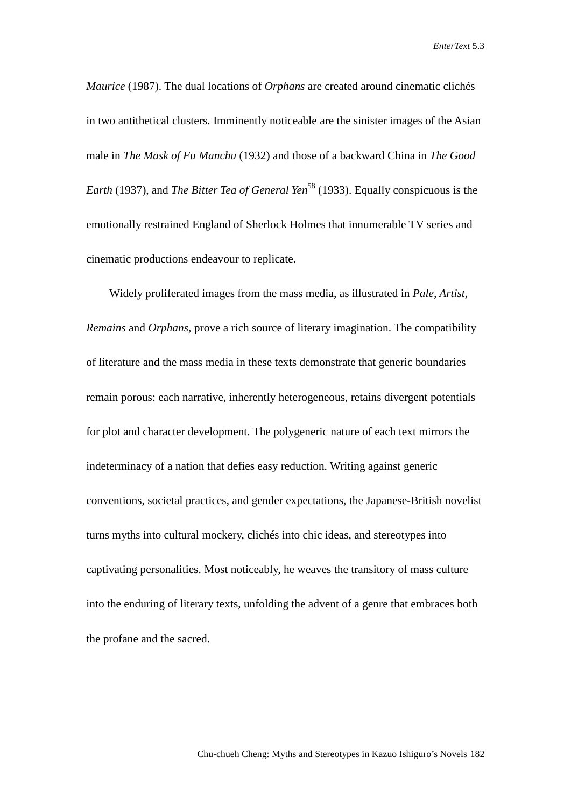*Maurice* (1987). The dual locations of *Orphans* are created around cinematic clichés in two antithetical clusters. Imminently noticeable are the sinister images of the Asian male in *The Mask of Fu Manchu* (1932) and those of a backward China in *The Good Earth* (1937), and *The Bitter Tea of General Yen*<sup>58</sup> (1933). Equally conspicuous is the emotionally restrained England of Sherlock Holmes that innumerable TV series and cinematic productions endeavour to replicate.

Widely proliferated images from the mass media, as illustrated in *Pale, Artist, Remains* and *Orphans*, prove a rich source of literary imagination. The compatibility of literature and the mass media in these texts demonstrate that generic boundaries remain porous: each narrative, inherently heterogeneous, retains divergent potentials for plot and character development. The polygeneric nature of each text mirrors the indeterminacy of a nation that defies easy reduction. Writing against generic conventions, societal practices, and gender expectations, the Japanese-British novelist turns myths into cultural mockery, clichés into chic ideas, and stereotypes into captivating personalities. Most noticeably, he weaves the transitory of mass culture into the enduring of literary texts, unfolding the advent of a genre that embraces both the profane and the sacred.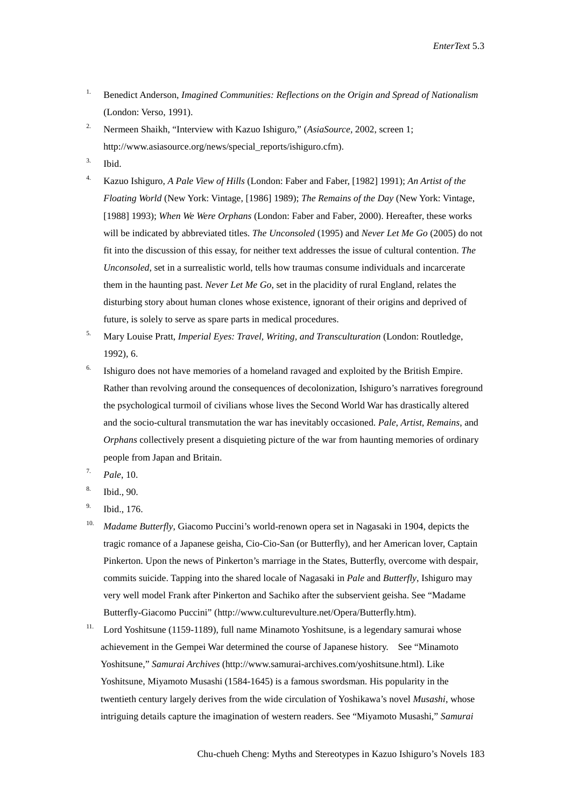- <sup>1.</sup> Benedict Anderson, *Imagined Communities: Reflections on the Origin and Spread of Nationalism* (London: Verso, 1991).
- <sup>2.</sup> Nermeen Shaikh, "Interview with Kazuo Ishiguro," (*AsiaSource*, 2002, screen 1; [http://www.asiasource.org/news/special\\_reports/i](http://www.asiasource.org/news/special_reports/)shiguro.cfm).
- 3. Ibid.
- 4. Kazuo Ishiguro, *A Pale View of Hills* (London: Faber and Faber, [1982] 1991); *An Artist of the Floating World* (New York: Vintage, [1986] 1989); *The Remains of the Day* (New York: Vintage, [1988] 1993); *When We Were Orphans* (London: Faber and Faber, 2000). Hereafter, these works will be indicated by abbreviated titles. *The Unconsoled* (1995) and *Never Let Me Go* (2005) do not fit into the discussion of this essay, for neither text addresses the issue of cultural contention. *The Unconsoled*, set in a surrealistic world, tells how traumas consume individuals and incarcerate them in the haunting past. *Never Let Me Go*, set in the placidity of rural England, relates the disturbing story about human clones whose existence, ignorant of their origins and deprived of future, is solely to serve as spare parts in medical procedures.
- 5. Mary Louise Pratt, *Imperial Eyes: Travel, Writing, and Transculturation* (London: Routledge, 1992), 6.
- $6.$  Ishiguro does not have memories of a homeland ravaged and exploited by the British Empire. Rather than revolving around the consequences of decolonization, Ishiguro's narratives foreground the psychological turmoil of civilians whose lives the Second World War has drastically altered and the socio-cultural transmutation the war has inevitably occasioned. *Pale*, *Artist*, *Remains*, and *Orphans* collectively present a disquieting picture of the war from haunting memories of ordinary people from Japan and Britain.
- 7. *Pale*, 10.
- 8. Ibid., 90.
- 9. Ibid., 176.
- <sup>10.</sup> *Madame Butterfly*, Giacomo Puccini's world-renown opera set in Nagasaki in 1904, depicts the tragic romance of a Japanese geisha, Cio-Cio-San (or Butterfly), and her American lover, Captain Pinkerton. Upon the news of Pinkerton's marriage in the States, Butterfly, overcome with despair, commits suicide. Tapping into the shared locale of Nagasaki in *Pale* and *Butterfly*, Ishiguro may very well model Frank after Pinkerton and Sachiko after the subservient geisha. See "Madame Butterfly-Giacomo Puccini" (http://ww[w.culturevulture.net/Opera/Butterfly.htm\)](http://www.culturevulture.net/Opera/Butterfly.htm).
- <sup>11.</sup> Lord Yoshitsune (1159-1189), full name Minamoto Yoshitsune, is a legendary samurai whose achievement in the Gempei War determined the course of Japanese history. See "Minamoto Yoshitsune," *Samurai Archives* [\(http://www.samurai-archives.com/yoshitsune.html](http://www.samurai-archives.com/yoshitsune.htm)). Like Yoshitsune, Miyamoto Musashi (1584-1645) is a famous swordsman. His popularity in the twentieth century largely derives from the wide circulation of Yoshikawa's novel *Musashi*, whose intriguing details capture the imagination of western readers. See "Miyamoto Musashi," *Samurai*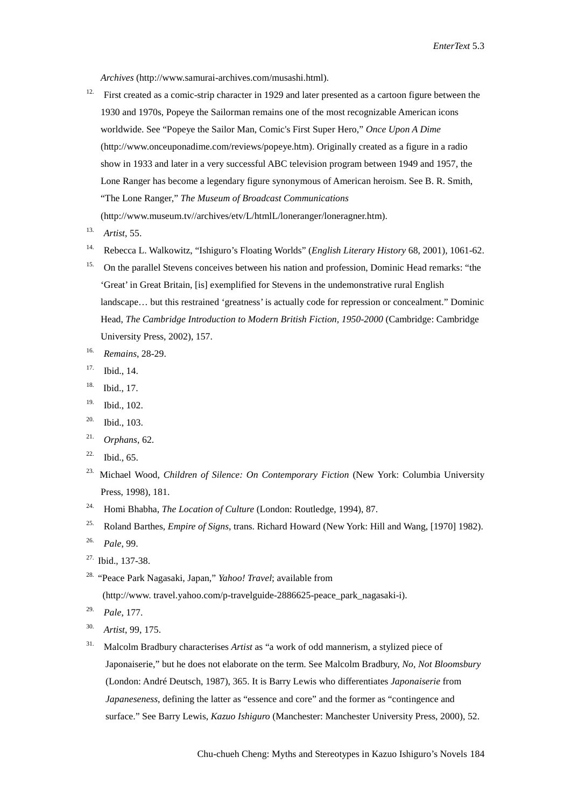*Archives* (http://www.samurai-archives.com/musashi.html).

- <sup>12.</sup> First created as a comic-strip character in 1929 and later presented as a cartoon figure between the 1930 and 1970s, Popeye the Sailorman remains one of the most recognizable American icons worldwide. See "Popeye the Sailor Man, Comic's First Super Hero," *Once Upon A Dime* [\(http://www.onceuponadime.com/reviews/popeye.htm\)](http://www.onceuponadime.com/reviews/popeye.htm). Originally created as a figure in a radio show in 1933 and later in a very successful ABC television program between 1949 and 1957, the Lone Ranger has become a legendary figure synonymous of American heroism. See B. R. Smith, "The Lone Ranger," *The Museum of Broadcast Communications* (http:/[/www.museum.tv//archives/etv/L/htmlL/loneranger/loneragner.htm\)](http://www.museum.tv/archives/etv/L/htmlL/loneranger/loneragner.htm).
- 13. *Artist*, 55.
- 14. Rebecca L. Walkowitz, "Ishiguro's Floating Worlds" (*English Literary History* 68, 2001), 1061-62.
- <sup>15.</sup> On the parallel Stevens conceives between his nation and profession, Dominic Head remarks: "the 'Great' in Great Britain, [is] exemplified for Stevens in the undemonstrative rural English landscape… but this restrained 'greatness' is actually code for repression or concealment." Dominic Head, *The Cambridge Introduction to Modern British Fiction, 1950-2000* (Cambridge: Cambridge University Press, 2002), 157.
- 16. *Remains*, 28-29.
- 17. Ibid., 14.
- 18. Ibid., 17.
- 19. Ibid., 102.
- 20. Ibid., 103.
- 21. *Orphans*, 62.
- $22.$  Ibid., 65.
- 23. Michael Wood, *Children of Silence: On Contemporary Fiction* (New York: Columbia University Press, 1998), 181.
- 24. Homi Bhabha, *The Location of Culture* (London: Routledge, 1994), 87.
- 25. Roland Barthes, *Empire of Signs*, trans. Richard Howard (New York: Hill and Wang, [1970] 1982).
- 26. *Pale*, 99.
- 27. Ibid., 137-38.
- 28. "Peace Park Nagasaki, Japan," *Yahoo! Travel*; available from

(http://www. travel.yahoo[.com/p-travelguide-2886625-peace\\_park\\_nagasaki-i\)](http://travel.yahoo.com/p-travelguide-2886625-peace_park_nagasaki-i).

- 29. *Pale*, 177.
- 30. *Artist*, 99, 175.
- 31. Malcolm Bradbury characterises *Artist* as "a work of odd mannerism, a stylized piece of Japonaiserie," but he does not elaborate on the term. See Malcolm Bradbury, *No, Not Bloomsbury* (London: André Deutsch, 1987), 365. It is Barry Lewis who differentiates *Japonaiserie* from *Japaneseness*, defining the latter as "essence and core" and the former as "contingence and surface." See Barry Lewis, *Kazuo Ishiguro* (Manchester: Manchester University Press, 2000), 52.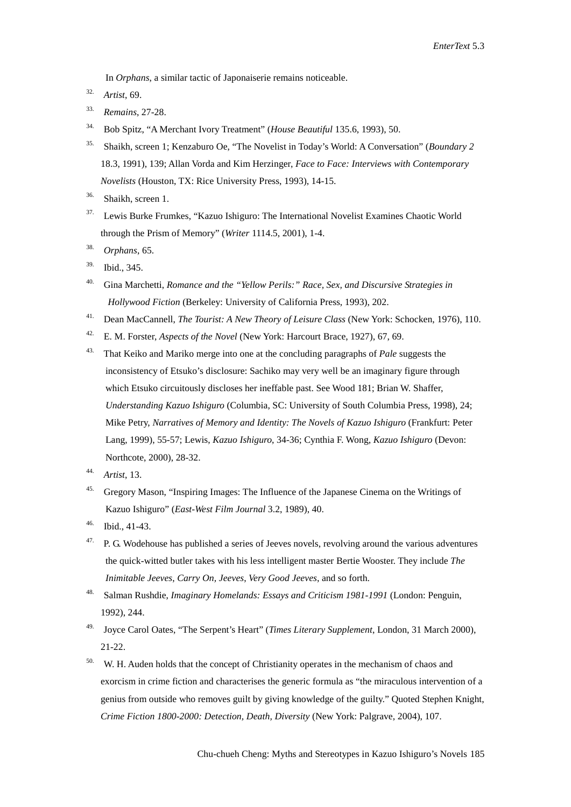In *Orphans*, a similar tactic of Japonaiserie remains noticeable.

- 32. *Artist*, 69.
- 33. *Remains*, 27-28.
- 34. Bob Spitz, "A Merchant Ivory Treatment" (*House Beautiful* 135.6, 1993), 50.
- 35. Shaikh, screen 1; Kenzaburo Oe, "The Novelist in Today's World: A Conversation" (*Boundary 2* 18.3, 1991), 139; Allan Vorda and Kim Herzinger, *Face to Face: Interviews with Contemporary Novelists* (Houston, TX: Rice University Press, 1993), 14-15.
- 36. Shaikh, screen 1.
- 37. Lewis Burke Frumkes, "Kazuo Ishiguro: The International Novelist Examines Chaotic World through the Prism of Memory" (*Writer* 1114.5, 2001), 1-4.
- 38. *Orphans*, 65.
- 39. Ibid., 345.
- 40. Gina Marchetti, *Romance and the "Yellow Perils:" Race, Sex, and Discursive Strategies in Hollywood Fiction* (Berkeley: University of California Press, 1993), 202.
- 41. Dean MacCannell, *The Tourist: A New Theory of Leisure Class* (New York: Schocken, 1976), 110.
- 42. E. M. Forster, *Aspects of the Novel* (New York: Harcourt Brace, 1927), 67, 69.
- 43. That Keiko and Mariko merge into one at the concluding paragraphs of *Pale* suggests the inconsistency of Etsuko's disclosure: Sachiko may very well be an imaginary figure through which Etsuko circuitously discloses her ineffable past. See Wood 181; Brian W. Shaffer, *Understanding Kazuo Ishiguro* (Columbia, SC: University of South Columbia Press, 1998), 24; Mike Petry, *Narratives of Memory and Identity: The Novels of Kazuo Ishiguro* (Frankfurt: Peter Lang, 1999), 55-57; Lewis, *Kazuo Ishiguro*, 34-36; Cynthia F. Wong, *Kazuo Ishiguro* (Devon: Northcote, 2000), 28-32.
- 44. *Artist*, 13.
- 45. Gregory Mason, "Inspiring Images: The Influence of the Japanese Cinema on the Writings of Kazuo Ishiguro" (*East-West Film Journal* 3.2, 1989), 40.
- 46. Ibid., 41-43.
- $47.$  P. G. Wodehouse has published a series of Jeeves novels, revolving around the various adventures the quick-witted butler takes with his less intelligent master Bertie Wooster. They include *The Inimitable Jeeves*, *Carry On, Jeeves*, *Very Good Jeeves*, and so forth.
- 48. Salman Rushdie, *Imaginary Homelands: Essays and Criticism 1981-1991* (London: Penguin, 1992), 244.
- 49. Joyce Carol Oates, "The Serpent's Heart" (*Times Literary Supplement*, London, 31 March 2000), 21-22.
- W. H. Auden holds that the concept of Christianity operates in the mechanism of chaos and exorcism in crime fiction and characterises the generic formula as "the miraculous intervention of a genius from outside who removes guilt by giving knowledge of the guilty." Quoted Stephen Knight, *Crime Fiction 1800-2000: Detection, Death, Diversity* (New York: Palgrave, 2004), 107.